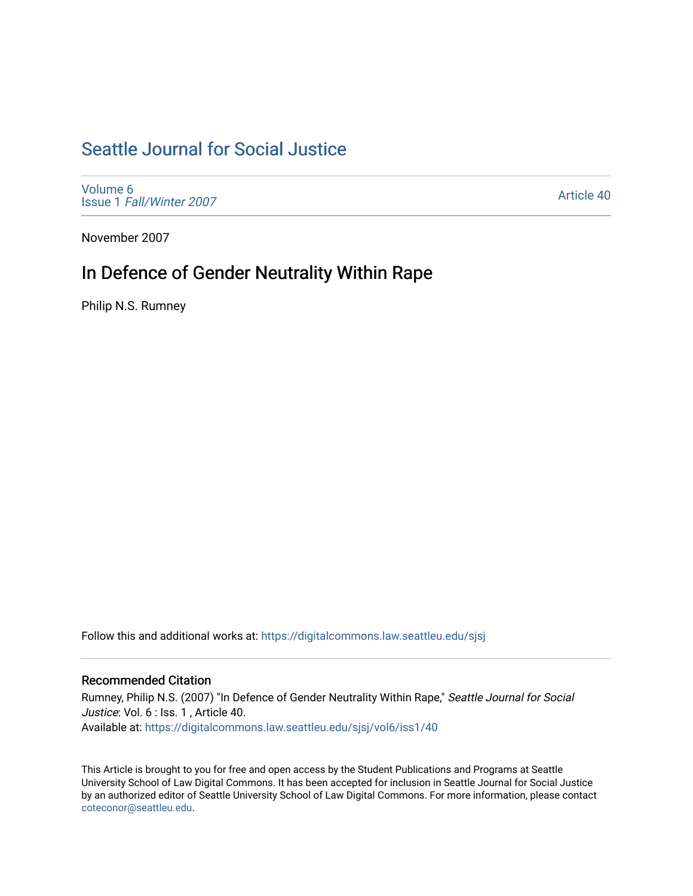# [Seattle Journal for Social Justice](https://digitalcommons.law.seattleu.edu/sjsj)

[Volume 6](https://digitalcommons.law.seattleu.edu/sjsj/vol6) Issue 1 [Fall/Winter 2007](https://digitalcommons.law.seattleu.edu/sjsj/vol6/iss1) 

[Article 40](https://digitalcommons.law.seattleu.edu/sjsj/vol6/iss1/40) 

November 2007

# In Defence of Gender Neutrality Within Rape

Philip N.S. Rumney

Follow this and additional works at: [https://digitalcommons.law.seattleu.edu/sjsj](https://digitalcommons.law.seattleu.edu/sjsj?utm_source=digitalcommons.law.seattleu.edu%2Fsjsj%2Fvol6%2Fiss1%2F40&utm_medium=PDF&utm_campaign=PDFCoverPages)

## Recommended Citation

Rumney, Philip N.S. (2007) "In Defence of Gender Neutrality Within Rape," Seattle Journal for Social Justice: Vol. 6 : Iss. 1, Article 40. Available at: [https://digitalcommons.law.seattleu.edu/sjsj/vol6/iss1/40](https://digitalcommons.law.seattleu.edu/sjsj/vol6/iss1/40?utm_source=digitalcommons.law.seattleu.edu%2Fsjsj%2Fvol6%2Fiss1%2F40&utm_medium=PDF&utm_campaign=PDFCoverPages)

This Article is brought to you for free and open access by the Student Publications and Programs at Seattle University School of Law Digital Commons. It has been accepted for inclusion in Seattle Journal for Social Justice by an authorized editor of Seattle University School of Law Digital Commons. For more information, please contact [coteconor@seattleu.edu.](mailto:coteconor@seattleu.edu)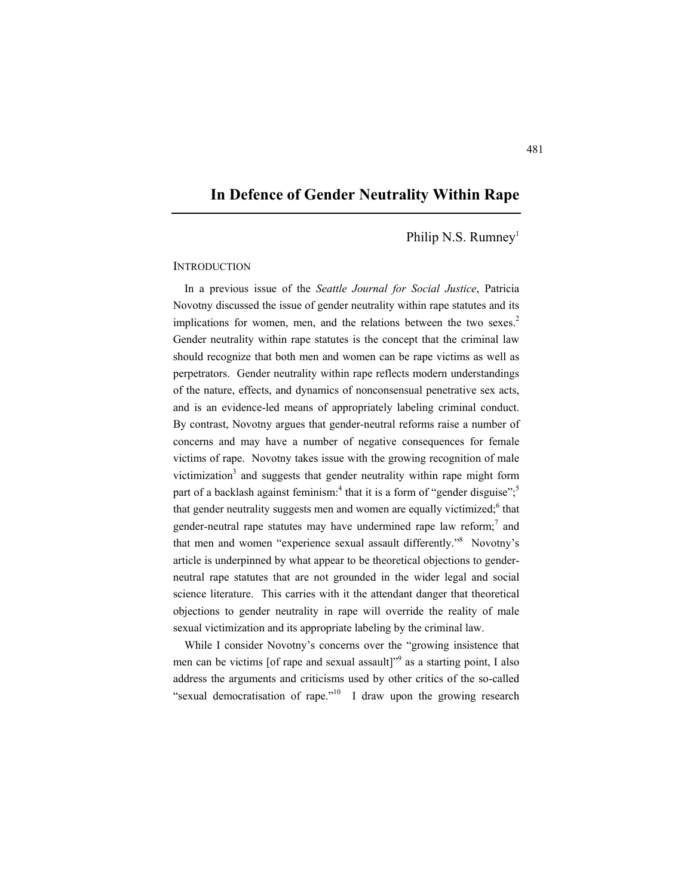## **In Defence of Gender Neutrality Within Rape**

Philip N.S. Rumney<sup>1</sup>

### **INTRODUCTION**

In a previous issue of the *Seattle Journal for Social Justice*, Patricia Novotny discussed the issue of gender neutrality within rape statutes and its implications for women, men, and the relations between the two sexes.<sup>2</sup> Gender neutrality within rape statutes is the concept that the criminal law should recognize that both men and women can be rape victims as well as perpetrators. Gender neutrality within rape reflects modern understandings of the nature, effects, and dynamics of nonconsensual penetrative sex acts, and is an evidence-led means of appropriately labeling criminal conduct. By contrast, Novotny argues that gender-neutral reforms raise a number of concerns and may have a number of negative consequences for female victims of rape. Novotny takes issue with the growing recognition of male victimization<sup>3</sup> and suggests that gender neutrality within rape might form part of a backlash against feminism:<sup>4</sup> that it is a form of "gender disguise";<sup>5</sup> that gender neutrality suggests men and women are equally victimized;<sup>6</sup> that gender-neutral rape statutes may have undermined rape law reform; $^7$  and that men and women "experience sexual assault differently."8 Novotny's article is underpinned by what appear to be theoretical objections to genderneutral rape statutes that are not grounded in the wider legal and social science literature. This carries with it the attendant danger that theoretical objections to gender neutrality in rape will override the reality of male sexual victimization and its appropriate labeling by the criminal law.

While I consider Novotny's concerns over the "growing insistence that men can be victims [of rape and sexual assault]<sup>39</sup> as a starting point, I also address the arguments and criticisms used by other critics of the so-called "sexual democratisation of rape."<sup>10</sup> I draw upon the growing research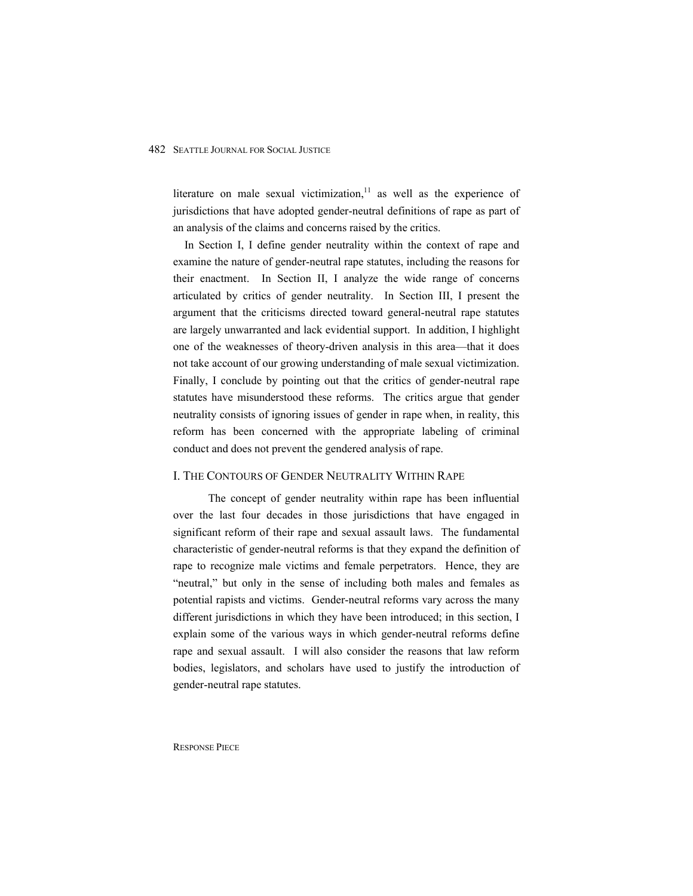literature on male sexual victimization, $11$  as well as the experience of jurisdictions that have adopted gender-neutral definitions of rape as part of an analysis of the claims and concerns raised by the critics.

In Section I, I define gender neutrality within the context of rape and examine the nature of gender-neutral rape statutes, including the reasons for their enactment. In Section II, I analyze the wide range of concerns articulated by critics of gender neutrality. In Section III, I present the argument that the criticisms directed toward general-neutral rape statutes are largely unwarranted and lack evidential support. In addition, I highlight one of the weaknesses of theory-driven analysis in this area—that it does not take account of our growing understanding of male sexual victimization. Finally, I conclude by pointing out that the critics of gender-neutral rape statutes have misunderstood these reforms. The critics argue that gender neutrality consists of ignoring issues of gender in rape when, in reality, this reform has been concerned with the appropriate labeling of criminal conduct and does not prevent the gendered analysis of rape.

#### I. THE CONTOURS OF GENDER NEUTRALITY WITHIN RAPE

 The concept of gender neutrality within rape has been influential over the last four decades in those jurisdictions that have engaged in significant reform of their rape and sexual assault laws. The fundamental characteristic of gender-neutral reforms is that they expand the definition of rape to recognize male victims and female perpetrators. Hence, they are "neutral," but only in the sense of including both males and females as potential rapists and victims. Gender-neutral reforms vary across the many different jurisdictions in which they have been introduced; in this section, I explain some of the various ways in which gender-neutral reforms define rape and sexual assault. I will also consider the reasons that law reform bodies, legislators, and scholars have used to justify the introduction of gender-neutral rape statutes.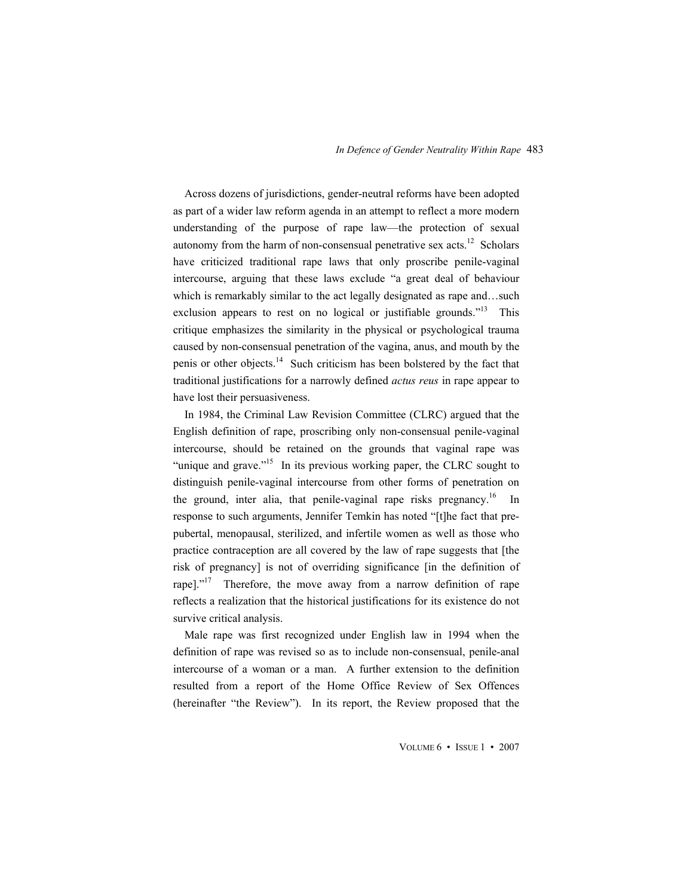Across dozens of jurisdictions, gender-neutral reforms have been adopted as part of a wider law reform agenda in an attempt to reflect a more modern understanding of the purpose of rape law—the protection of sexual autonomy from the harm of non-consensual penetrative sex acts.<sup>12</sup> Scholars have criticized traditional rape laws that only proscribe penile-vaginal intercourse, arguing that these laws exclude "a great deal of behaviour which is remarkably similar to the act legally designated as rape and…such exclusion appears to rest on no logical or justifiable grounds."<sup>13</sup> This critique emphasizes the similarity in the physical or psychological trauma caused by non-consensual penetration of the vagina, anus, and mouth by the penis or other objects.<sup>14</sup> Such criticism has been bolstered by the fact that traditional justifications for a narrowly defined *actus reus* in rape appear to have lost their persuasiveness.

In 1984, the Criminal Law Revision Committee (CLRC) argued that the English definition of rape, proscribing only non-consensual penile-vaginal intercourse, should be retained on the grounds that vaginal rape was "unique and grave."<sup>15</sup> In its previous working paper, the CLRC sought to distinguish penile-vaginal intercourse from other forms of penetration on the ground, inter alia, that penile-vaginal rape risks pregnancy.<sup>16</sup> In response to such arguments, Jennifer Temkin has noted "[t]he fact that prepubertal, menopausal, sterilized, and infertile women as well as those who practice contraception are all covered by the law of rape suggests that [the risk of pregnancy] is not of overriding significance [in the definition of rape]."<sup>17</sup> Therefore, the move away from a narrow definition of rape reflects a realization that the historical justifications for its existence do not survive critical analysis.

Male rape was first recognized under English law in 1994 when the definition of rape was revised so as to include non-consensual, penile-anal intercourse of a woman or a man. A further extension to the definition resulted from a report of the Home Office Review of Sex Offences (hereinafter "the Review"). In its report, the Review proposed that the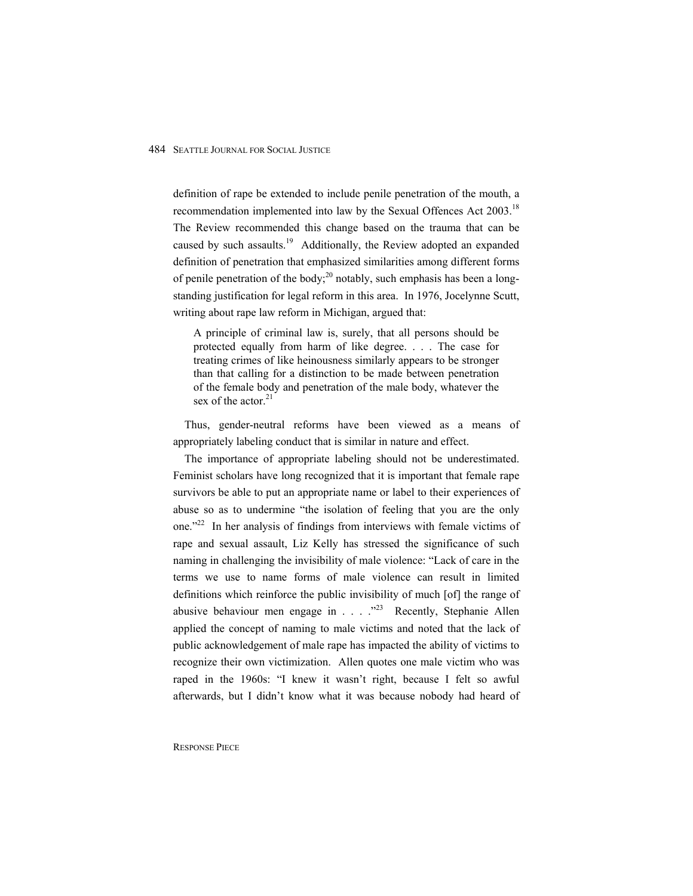definition of rape be extended to include penile penetration of the mouth, a recommendation implemented into law by the Sexual Offences Act 2003.<sup>18</sup> The Review recommended this change based on the trauma that can be caused by such assaults.<sup>19</sup> Additionally, the Review adopted an expanded definition of penetration that emphasized similarities among different forms of penile penetration of the body;<sup>20</sup> notably, such emphasis has been a longstanding justification for legal reform in this area. In 1976, Jocelynne Scutt, writing about rape law reform in Michigan, argued that:

A principle of criminal law is, surely, that all persons should be protected equally from harm of like degree. . . . The case for treating crimes of like heinousness similarly appears to be stronger than that calling for a distinction to be made between penetration of the female body and penetration of the male body, whatever the sex of the actor. $21$ 

Thus, gender-neutral reforms have been viewed as a means of appropriately labeling conduct that is similar in nature and effect.

The importance of appropriate labeling should not be underestimated. Feminist scholars have long recognized that it is important that female rape survivors be able to put an appropriate name or label to their experiences of abuse so as to undermine "the isolation of feeling that you are the only one."22 In her analysis of findings from interviews with female victims of rape and sexual assault, Liz Kelly has stressed the significance of such naming in challenging the invisibility of male violence: "Lack of care in the terms we use to name forms of male violence can result in limited definitions which reinforce the public invisibility of much [of] the range of abusive behaviour men engage in  $\ldots$   $\cdot$   $\cdot$  Recently, Stephanie Allen applied the concept of naming to male victims and noted that the lack of public acknowledgement of male rape has impacted the ability of victims to recognize their own victimization. Allen quotes one male victim who was raped in the 1960s: "I knew it wasn't right, because I felt so awful afterwards, but I didn't know what it was because nobody had heard of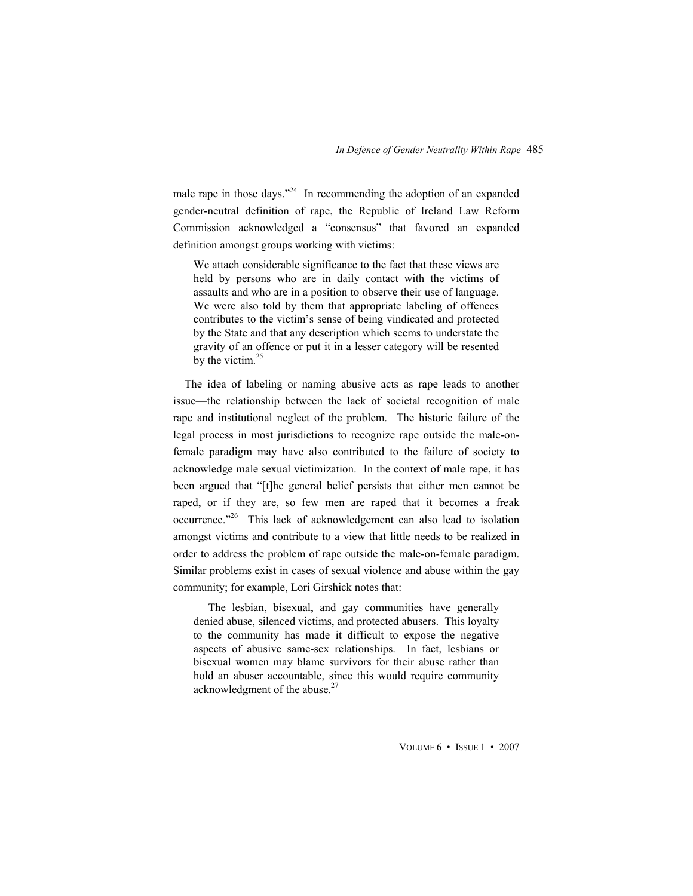male rape in those days."<sup>24</sup> In recommending the adoption of an expanded gender-neutral definition of rape, the Republic of Ireland Law Reform Commission acknowledged a "consensus" that favored an expanded definition amongst groups working with victims:

We attach considerable significance to the fact that these views are held by persons who are in daily contact with the victims of assaults and who are in a position to observe their use of language. We were also told by them that appropriate labeling of offences contributes to the victim's sense of being vindicated and protected by the State and that any description which seems to understate the gravity of an offence or put it in a lesser category will be resented by the victim. $25$ 

The idea of labeling or naming abusive acts as rape leads to another issue—the relationship between the lack of societal recognition of male rape and institutional neglect of the problem. The historic failure of the legal process in most jurisdictions to recognize rape outside the male-onfemale paradigm may have also contributed to the failure of society to acknowledge male sexual victimization. In the context of male rape, it has been argued that "[t]he general belief persists that either men cannot be raped, or if they are, so few men are raped that it becomes a freak occurrence."26 This lack of acknowledgement can also lead to isolation amongst victims and contribute to a view that little needs to be realized in order to address the problem of rape outside the male-on-female paradigm. Similar problems exist in cases of sexual violence and abuse within the gay community; for example, Lori Girshick notes that:

 The lesbian, bisexual, and gay communities have generally denied abuse, silenced victims, and protected abusers. This loyalty to the community has made it difficult to expose the negative aspects of abusive same-sex relationships. In fact, lesbians or bisexual women may blame survivors for their abuse rather than hold an abuser accountable, since this would require community acknowledgment of the abuse. $27$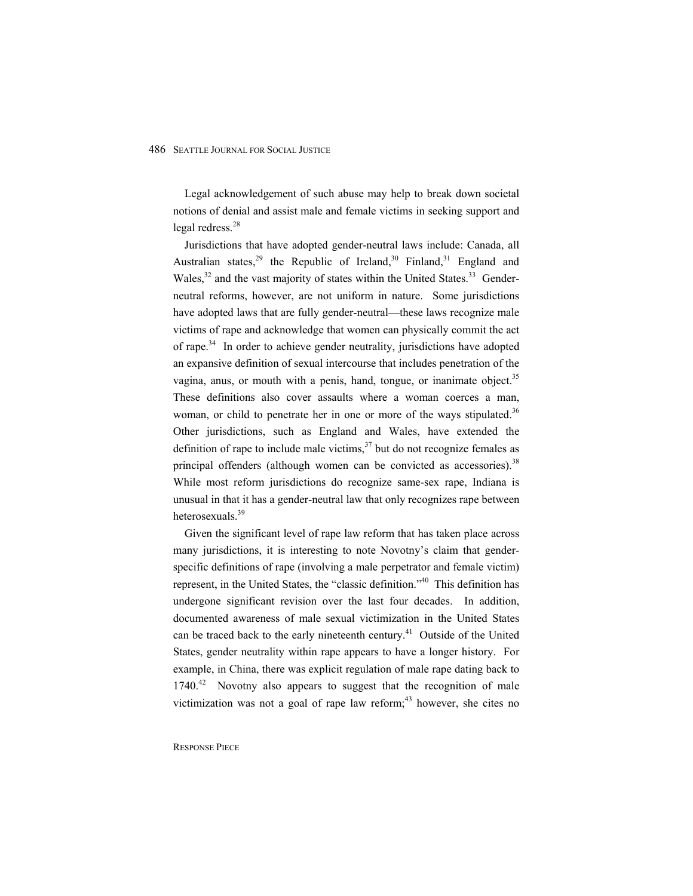Legal acknowledgement of such abuse may help to break down societal notions of denial and assist male and female victims in seeking support and legal redress. $28$ 

Jurisdictions that have adopted gender-neutral laws include: Canada, all Australian states,<sup>29</sup> the Republic of Ireland,<sup>30</sup> Finland,<sup>31</sup> England and Wales, $32$  and the vast majority of states within the United States. $33$  Genderneutral reforms, however, are not uniform in nature. Some jurisdictions have adopted laws that are fully gender-neutral—these laws recognize male victims of rape and acknowledge that women can physically commit the act of rape.<sup>34</sup> In order to achieve gender neutrality, jurisdictions have adopted an expansive definition of sexual intercourse that includes penetration of the vagina, anus, or mouth with a penis, hand, tongue, or inanimate object. $35$ These definitions also cover assaults where a woman coerces a man, woman, or child to penetrate her in one or more of the ways stipulated.<sup>36</sup> Other jurisdictions, such as England and Wales, have extended the definition of rape to include male victims,  $37$  but do not recognize females as principal offenders (although women can be convicted as accessories).  $38$ While most reform jurisdictions do recognize same-sex rape, Indiana is unusual in that it has a gender-neutral law that only recognizes rape between heterosexuals.<sup>39</sup>

Given the significant level of rape law reform that has taken place across many jurisdictions, it is interesting to note Novotny's claim that genderspecific definitions of rape (involving a male perpetrator and female victim) represent, in the United States, the "classic definition."40 This definition has undergone significant revision over the last four decades. In addition, documented awareness of male sexual victimization in the United States can be traced back to the early nineteenth century.<sup>41</sup> Outside of the United States, gender neutrality within rape appears to have a longer history. For example, in China, there was explicit regulation of male rape dating back to  $1740<sup>42</sup>$  Novotny also appears to suggest that the recognition of male victimization was not a goal of rape law reform; $43$  however, she cites no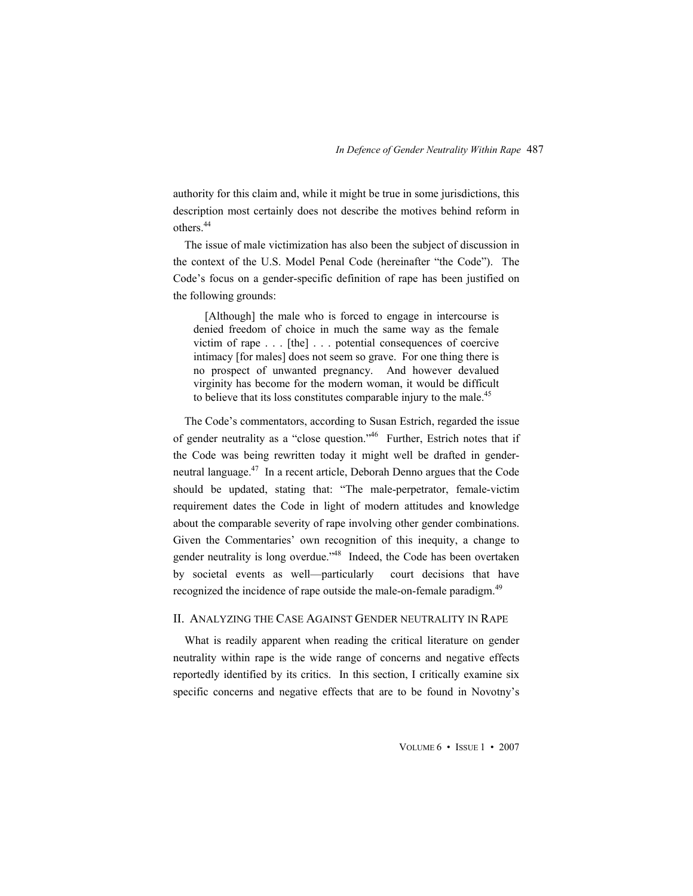authority for this claim and, while it might be true in some jurisdictions, this description most certainly does not describe the motives behind reform in others<sup>44</sup>

The issue of male victimization has also been the subject of discussion in the context of the U.S. Model Penal Code (hereinafter "the Code"). The Code's focus on a gender-specific definition of rape has been justified on the following grounds:

[Although] the male who is forced to engage in intercourse is denied freedom of choice in much the same way as the female victim of rape . . . [the] . . . potential consequences of coercive intimacy [for males] does not seem so grave. For one thing there is no prospect of unwanted pregnancy. And however devalued virginity has become for the modern woman, it would be difficult to believe that its loss constitutes comparable injury to the male.<sup>45</sup>

The Code's commentators, according to Susan Estrich, regarded the issue of gender neutrality as a "close question."<sup>46</sup> Further, Estrich notes that if the Code was being rewritten today it might well be drafted in genderneutral language.<sup>47</sup> In a recent article, Deborah Denno argues that the Code should be updated, stating that: "The male-perpetrator, female-victim requirement dates the Code in light of modern attitudes and knowledge about the comparable severity of rape involving other gender combinations. Given the Commentaries' own recognition of this inequity, a change to gender neutrality is long overdue.<sup>348</sup> Indeed, the Code has been overtaken by societal events as well—particularly court decisions that have recognized the incidence of rape outside the male-on-female paradigm.<sup>49</sup>

### II. ANALYZING THE CASE AGAINST GENDER NEUTRALITY IN RAPE

What is readily apparent when reading the critical literature on gender neutrality within rape is the wide range of concerns and negative effects reportedly identified by its critics. In this section, I critically examine six specific concerns and negative effects that are to be found in Novotny's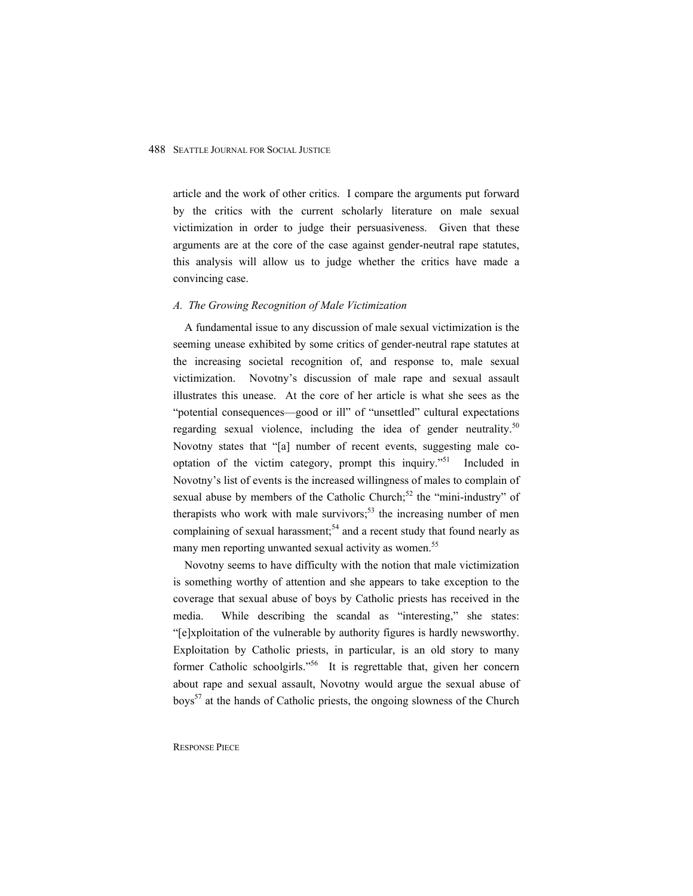article and the work of other critics. I compare the arguments put forward by the critics with the current scholarly literature on male sexual victimization in order to judge their persuasiveness. Given that these arguments are at the core of the case against gender-neutral rape statutes, this analysis will allow us to judge whether the critics have made a convincing case.

#### *A. The Growing Recognition of Male Victimization*

A fundamental issue to any discussion of male sexual victimization is the seeming unease exhibited by some critics of gender-neutral rape statutes at the increasing societal recognition of, and response to, male sexual victimization. Novotny's discussion of male rape and sexual assault illustrates this unease. At the core of her article is what she sees as the "potential consequences—good or ill" of "unsettled" cultural expectations regarding sexual violence, including the idea of gender neutrality.<sup>50</sup> Novotny states that "[a] number of recent events, suggesting male cooptation of the victim category, prompt this inquiry."51 Included in Novotny's list of events is the increased willingness of males to complain of sexual abuse by members of the Catholic Church;<sup>52</sup> the "mini-industry" of therapists who work with male survivors;<sup>53</sup> the increasing number of men complaining of sexual harassment;<sup>54</sup> and a recent study that found nearly as many men reporting unwanted sexual activity as women.<sup>55</sup>

Novotny seems to have difficulty with the notion that male victimization is something worthy of attention and she appears to take exception to the coverage that sexual abuse of boys by Catholic priests has received in the media. While describing the scandal as "interesting," she states: "[e]xploitation of the vulnerable by authority figures is hardly newsworthy. Exploitation by Catholic priests, in particular, is an old story to many former Catholic schoolgirls."<sup>56</sup> It is regrettable that, given her concern about rape and sexual assault, Novotny would argue the sexual abuse of boys<sup>57</sup> at the hands of Catholic priests, the ongoing slowness of the Church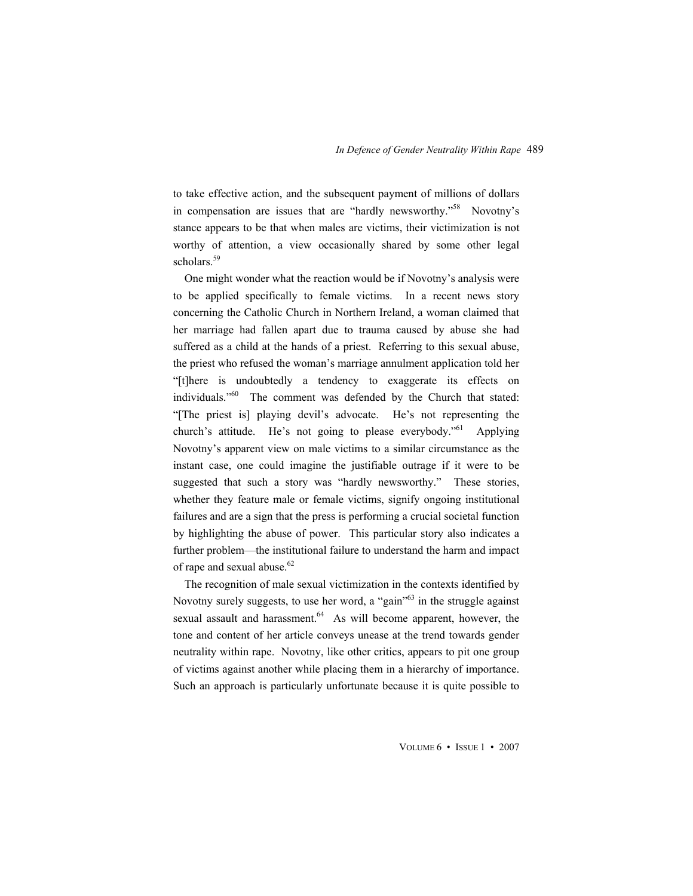to take effective action, and the subsequent payment of millions of dollars in compensation are issues that are "hardly newsworthy."<sup>58</sup> Novotny's stance appears to be that when males are victims, their victimization is not worthy of attention, a view occasionally shared by some other legal scholars.<sup>59</sup>

One might wonder what the reaction would be if Novotny's analysis were to be applied specifically to female victims. In a recent news story concerning the Catholic Church in Northern Ireland, a woman claimed that her marriage had fallen apart due to trauma caused by abuse she had suffered as a child at the hands of a priest. Referring to this sexual abuse, the priest who refused the woman's marriage annulment application told her "[t]here is undoubtedly a tendency to exaggerate its effects on individuals."<sup>60</sup> The comment was defended by the Church that stated: "[The priest is] playing devil's advocate. He's not representing the church's attitude. He's not going to please everybody."<sup>61</sup> Applying Novotny's apparent view on male victims to a similar circumstance as the instant case, one could imagine the justifiable outrage if it were to be suggested that such a story was "hardly newsworthy." These stories, whether they feature male or female victims, signify ongoing institutional failures and are a sign that the press is performing a crucial societal function by highlighting the abuse of power. This particular story also indicates a further problem—the institutional failure to understand the harm and impact of rape and sexual abuse.<sup>62</sup>

The recognition of male sexual victimization in the contexts identified by Novotny surely suggests, to use her word, a "gain"<sup>63</sup> in the struggle against sexual assault and harassment. $64$  As will become apparent, however, the tone and content of her article conveys unease at the trend towards gender neutrality within rape. Novotny, like other critics, appears to pit one group of victims against another while placing them in a hierarchy of importance. Such an approach is particularly unfortunate because it is quite possible to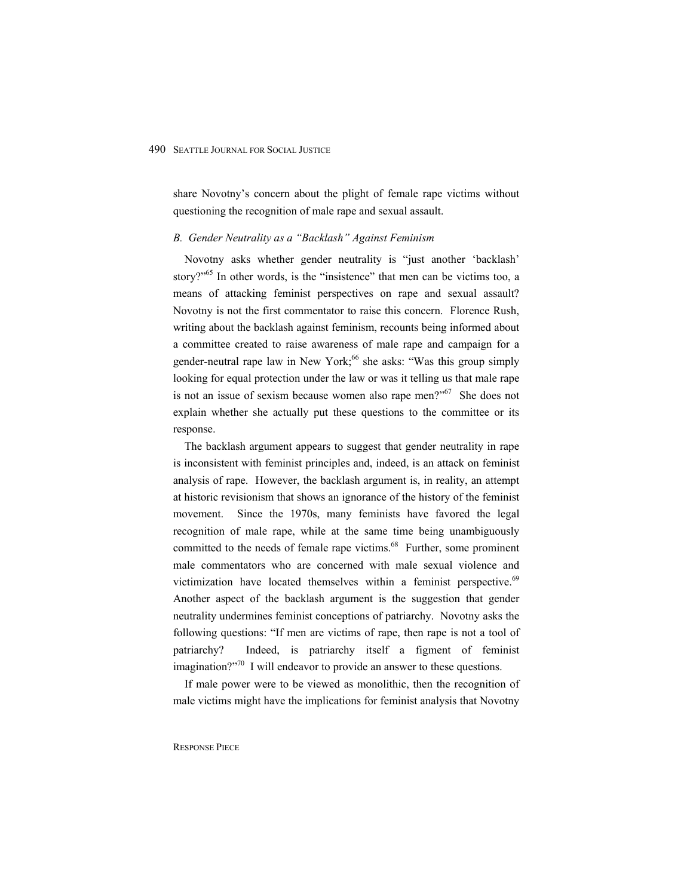share Novotny's concern about the plight of female rape victims without questioning the recognition of male rape and sexual assault.

#### *B. Gender Neutrality as a "Backlash" Against Feminism*

Novotny asks whether gender neutrality is "just another 'backlash' story?"<sup>65</sup> In other words, is the "insistence" that men can be victims too, a means of attacking feminist perspectives on rape and sexual assault? Novotny is not the first commentator to raise this concern. Florence Rush, writing about the backlash against feminism, recounts being informed about a committee created to raise awareness of male rape and campaign for a gender-neutral rape law in New York;<sup>66</sup> she asks: "Was this group simply looking for equal protection under the law or was it telling us that male rape is not an issue of sexism because women also rape men?"<sup>67</sup> She does not explain whether she actually put these questions to the committee or its response.

The backlash argument appears to suggest that gender neutrality in rape is inconsistent with feminist principles and, indeed, is an attack on feminist analysis of rape. However, the backlash argument is, in reality, an attempt at historic revisionism that shows an ignorance of the history of the feminist movement. Since the 1970s, many feminists have favored the legal recognition of male rape, while at the same time being unambiguously committed to the needs of female rape victims.<sup>68</sup> Further, some prominent male commentators who are concerned with male sexual violence and victimization have located themselves within a feminist perspective. $69$ Another aspect of the backlash argument is the suggestion that gender neutrality undermines feminist conceptions of patriarchy. Novotny asks the following questions: "If men are victims of rape, then rape is not a tool of patriarchy? Indeed, is patriarchy itself a figment of feminist imagination? $2^{570}$  I will endeavor to provide an answer to these questions.

If male power were to be viewed as monolithic, then the recognition of male victims might have the implications for feminist analysis that Novotny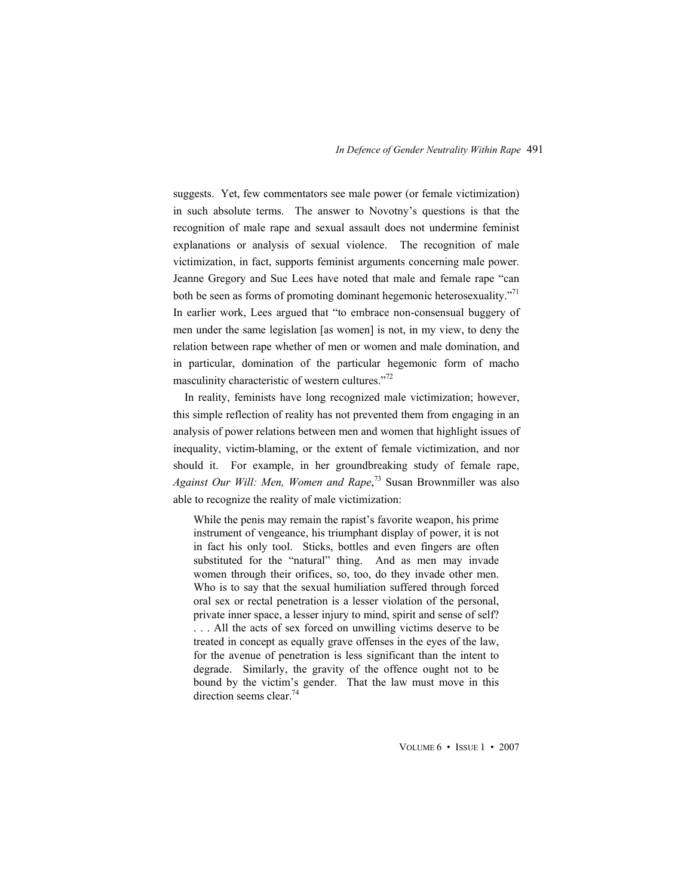suggests. Yet, few commentators see male power (or female victimization) in such absolute terms. The answer to Novotny's questions is that the recognition of male rape and sexual assault does not undermine feminist explanations or analysis of sexual violence. The recognition of male victimization, in fact, supports feminist arguments concerning male power. Jeanne Gregory and Sue Lees have noted that male and female rape "can both be seen as forms of promoting dominant hegemonic heterosexuality."<sup>71</sup> In earlier work, Lees argued that "to embrace non-consensual buggery of men under the same legislation [as women] is not, in my view, to deny the relation between rape whether of men or women and male domination, and in particular, domination of the particular hegemonic form of macho masculinity characteristic of western cultures."<sup>72</sup>

In reality, feminists have long recognized male victimization; however, this simple reflection of reality has not prevented them from engaging in an analysis of power relations between men and women that highlight issues of inequality, victim-blaming, or the extent of female victimization, and nor should it. For example, in her groundbreaking study of female rape, *Against Our Will: Men, Women and Rape*, 73 Susan Brownmiller was also able to recognize the reality of male victimization:

While the penis may remain the rapist's favorite weapon, his prime instrument of vengeance, his triumphant display of power, it is not in fact his only tool. Sticks, bottles and even fingers are often substituted for the "natural" thing. And as men may invade women through their orifices, so, too, do they invade other men. Who is to say that the sexual humiliation suffered through forced oral sex or rectal penetration is a lesser violation of the personal, private inner space, a lesser injury to mind, spirit and sense of self? . . . All the acts of sex forced on unwilling victims deserve to be treated in concept as equally grave offenses in the eyes of the law, for the avenue of penetration is less significant than the intent to degrade. Similarly, the gravity of the offence ought not to be bound by the victim's gender. That the law must move in this direction seems clear.<sup>74</sup>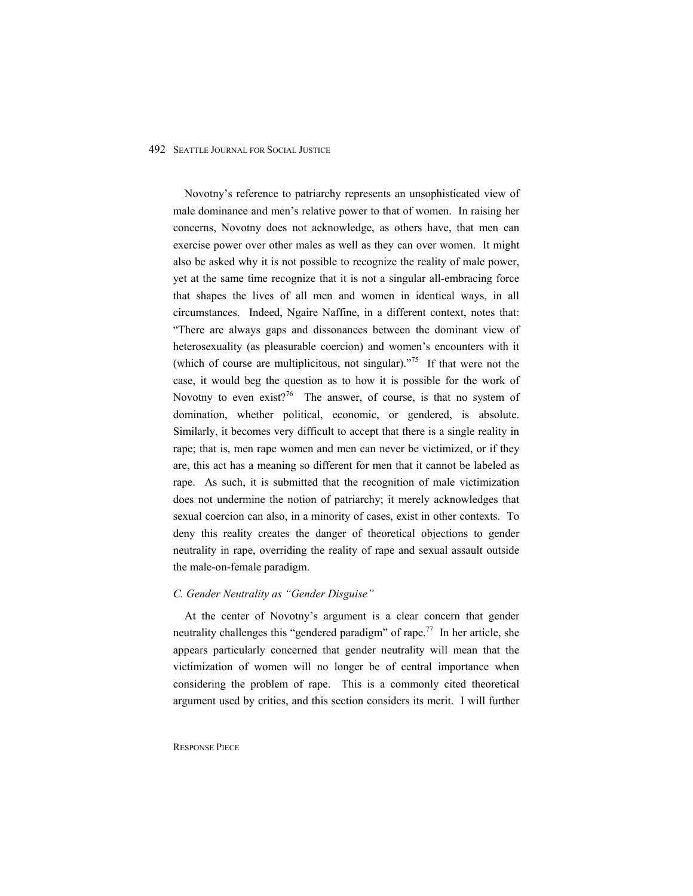Novotny's reference to patriarchy represents an unsophisticated view of male dominance and men's relative power to that of women. In raising her concerns, Novotny does not acknowledge, as others have, that men can exercise power over other males as well as they can over women. It might also be asked why it is not possible to recognize the reality of male power, yet at the same time recognize that it is not a singular all-embracing force that shapes the lives of all men and women in identical ways, in all circumstances. Indeed, Ngaire Naffine, in a different context, notes that: "There are always gaps and dissonances between the dominant view of heterosexuality (as pleasurable coercion) and women's encounters with it (which of course are multiplicitous, not singular). $175$  If that were not the case, it would beg the question as to how it is possible for the work of Novotny to even exist?<sup>76</sup> The answer, of course, is that no system of domination, whether political, economic, or gendered, is absolute. Similarly, it becomes very difficult to accept that there is a single reality in rape; that is, men rape women and men can never be victimized, or if they are, this act has a meaning so different for men that it cannot be labeled as rape. As such, it is submitted that the recognition of male victimization does not undermine the notion of patriarchy; it merely acknowledges that sexual coercion can also, in a minority of cases, exist in other contexts. To deny this reality creates the danger of theoretical objections to gender neutrality in rape, overriding the reality of rape and sexual assault outside the male-on-female paradigm.

#### *C. Gender Neutrality as "Gender Disguise"*

At the center of Novotny's argument is a clear concern that gender neutrality challenges this "gendered paradigm" of rape.<sup>77</sup> In her article, she appears particularly concerned that gender neutrality will mean that the victimization of women will no longer be of central importance when considering the problem of rape. This is a commonly cited theoretical argument used by critics, and this section considers its merit. I will further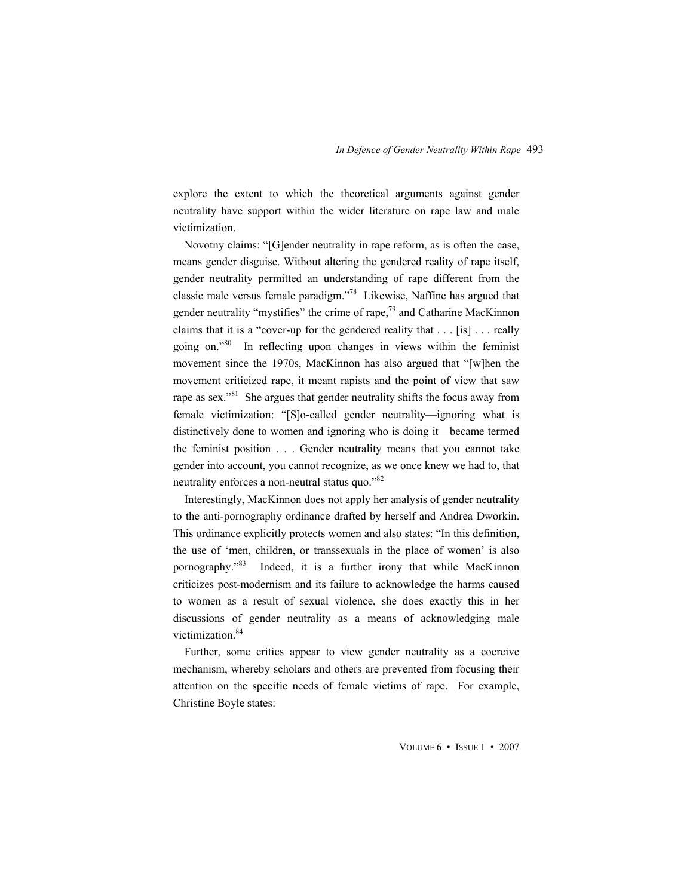explore the extent to which the theoretical arguments against gender neutrality have support within the wider literature on rape law and male victimization.

Novotny claims: "[G]ender neutrality in rape reform, as is often the case, means gender disguise. Without altering the gendered reality of rape itself, gender neutrality permitted an understanding of rape different from the classic male versus female paradigm."78 Likewise, Naffine has argued that gender neutrality "mystifies" the crime of rape, $7<sup>9</sup>$  and Catharine MacKinnon claims that it is a "cover-up for the gendered reality that . . . [is] . . . really going on."80 In reflecting upon changes in views within the feminist movement since the 1970s, MacKinnon has also argued that "[w]hen the movement criticized rape, it meant rapists and the point of view that saw rape as sex."<sup>81</sup> She argues that gender neutrality shifts the focus away from female victimization: "[S]o-called gender neutrality—ignoring what is distinctively done to women and ignoring who is doing it—became termed the feminist position . . . Gender neutrality means that you cannot take gender into account, you cannot recognize, as we once knew we had to, that neutrality enforces a non-neutral status quo."82

Interestingly, MacKinnon does not apply her analysis of gender neutrality to the anti-pornography ordinance drafted by herself and Andrea Dworkin. This ordinance explicitly protects women and also states: "In this definition, the use of 'men, children, or transsexuals in the place of women' is also pornography."<sup>83</sup> Indeed, it is a further irony that while MacKinnon criticizes post-modernism and its failure to acknowledge the harms caused to women as a result of sexual violence, she does exactly this in her discussions of gender neutrality as a means of acknowledging male victimization.<sup>84</sup>

Further, some critics appear to view gender neutrality as a coercive mechanism, whereby scholars and others are prevented from focusing their attention on the specific needs of female victims of rape. For example, Christine Boyle states: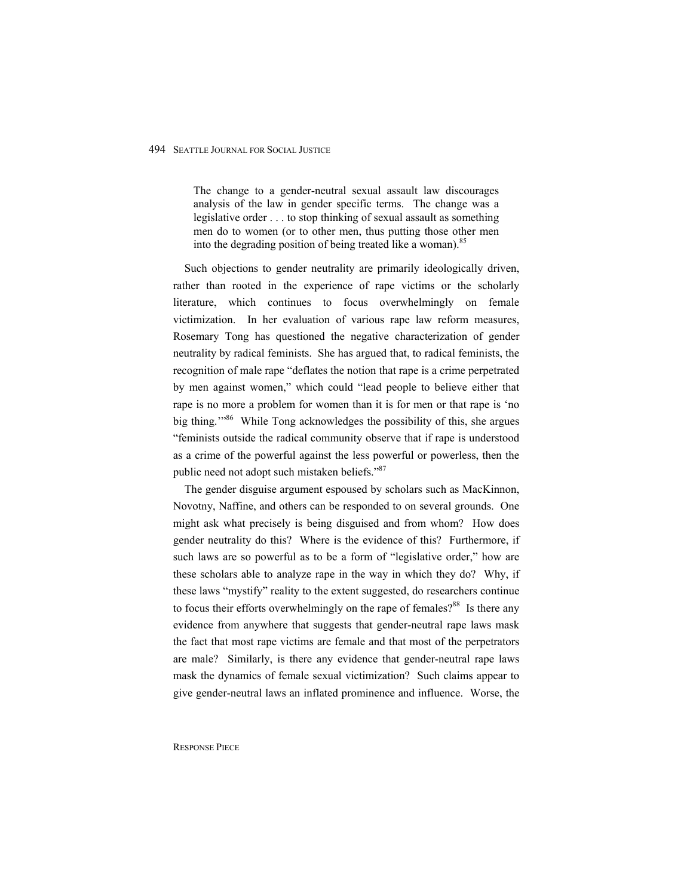The change to a gender-neutral sexual assault law discourages analysis of the law in gender specific terms. The change was a legislative order . . . to stop thinking of sexual assault as something men do to women (or to other men, thus putting those other men into the degrading position of being treated like a woman).<sup>85</sup>

Such objections to gender neutrality are primarily ideologically driven, rather than rooted in the experience of rape victims or the scholarly literature, which continues to focus overwhelmingly on female victimization. In her evaluation of various rape law reform measures, Rosemary Tong has questioned the negative characterization of gender neutrality by radical feminists. She has argued that, to radical feminists, the recognition of male rape "deflates the notion that rape is a crime perpetrated by men against women," which could "lead people to believe either that rape is no more a problem for women than it is for men or that rape is 'no big thing."<sup>86</sup> While Tong acknowledges the possibility of this, she argues "feminists outside the radical community observe that if rape is understood as a crime of the powerful against the less powerful or powerless, then the public need not adopt such mistaken beliefs."87

The gender disguise argument espoused by scholars such as MacKinnon, Novotny, Naffine, and others can be responded to on several grounds. One might ask what precisely is being disguised and from whom? How does gender neutrality do this? Where is the evidence of this? Furthermore, if such laws are so powerful as to be a form of "legislative order," how are these scholars able to analyze rape in the way in which they do? Why, if these laws "mystify" reality to the extent suggested, do researchers continue to focus their efforts overwhelmingly on the rape of females?<sup>88</sup> Is there any evidence from anywhere that suggests that gender-neutral rape laws mask the fact that most rape victims are female and that most of the perpetrators are male? Similarly, is there any evidence that gender-neutral rape laws mask the dynamics of female sexual victimization? Such claims appear to give gender-neutral laws an inflated prominence and influence. Worse, the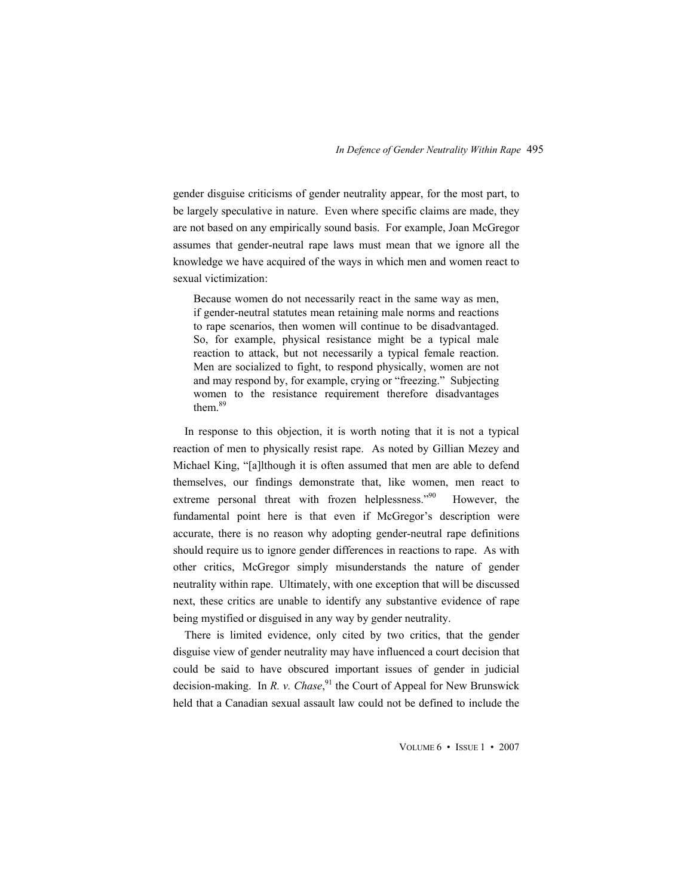gender disguise criticisms of gender neutrality appear, for the most part, to be largely speculative in nature. Even where specific claims are made, they are not based on any empirically sound basis. For example, Joan McGregor assumes that gender-neutral rape laws must mean that we ignore all the knowledge we have acquired of the ways in which men and women react to sexual victimization:

Because women do not necessarily react in the same way as men, if gender-neutral statutes mean retaining male norms and reactions to rape scenarios, then women will continue to be disadvantaged. So, for example, physical resistance might be a typical male reaction to attack, but not necessarily a typical female reaction. Men are socialized to fight, to respond physically, women are not and may respond by, for example, crying or "freezing." Subjecting women to the resistance requirement therefore disadvantages them<sup>89</sup>

In response to this objection, it is worth noting that it is not a typical reaction of men to physically resist rape. As noted by Gillian Mezey and Michael King, "[a]lthough it is often assumed that men are able to defend themselves, our findings demonstrate that, like women, men react to extreme personal threat with frozen helplessness."<sup>90</sup> However, the fundamental point here is that even if McGregor's description were accurate, there is no reason why adopting gender-neutral rape definitions should require us to ignore gender differences in reactions to rape. As with other critics, McGregor simply misunderstands the nature of gender neutrality within rape. Ultimately, with one exception that will be discussed next, these critics are unable to identify any substantive evidence of rape being mystified or disguised in any way by gender neutrality.

There is limited evidence, only cited by two critics, that the gender disguise view of gender neutrality may have influenced a court decision that could be said to have obscured important issues of gender in judicial decision-making. In *R. v. Chase*, 91 the Court of Appeal for New Brunswick held that a Canadian sexual assault law could not be defined to include the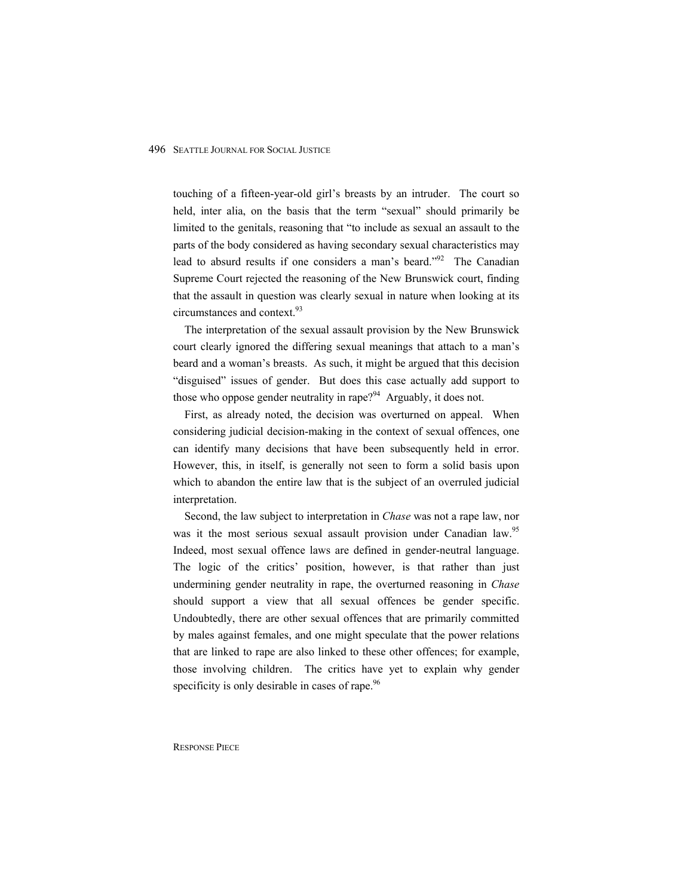touching of a fifteen-year-old girl's breasts by an intruder. The court so held, inter alia, on the basis that the term "sexual" should primarily be limited to the genitals, reasoning that "to include as sexual an assault to the parts of the body considered as having secondary sexual characteristics may lead to absurd results if one considers a man's beard."<sup>92</sup> The Canadian Supreme Court rejected the reasoning of the New Brunswick court, finding that the assault in question was clearly sexual in nature when looking at its circumstances and context.<sup>93</sup>

The interpretation of the sexual assault provision by the New Brunswick court clearly ignored the differing sexual meanings that attach to a man's beard and a woman's breasts. As such, it might be argued that this decision "disguised" issues of gender. But does this case actually add support to those who oppose gender neutrality in rape?<sup>94</sup> Arguably, it does not.

First, as already noted, the decision was overturned on appeal. When considering judicial decision-making in the context of sexual offences, one can identify many decisions that have been subsequently held in error. However, this, in itself, is generally not seen to form a solid basis upon which to abandon the entire law that is the subject of an overruled judicial interpretation.

Second, the law subject to interpretation in *Chase* was not a rape law, nor was it the most serious sexual assault provision under Canadian law.<sup>95</sup> Indeed, most sexual offence laws are defined in gender-neutral language. The logic of the critics' position, however, is that rather than just undermining gender neutrality in rape, the overturned reasoning in *Chase* should support a view that all sexual offences be gender specific. Undoubtedly, there are other sexual offences that are primarily committed by males against females, and one might speculate that the power relations that are linked to rape are also linked to these other offences; for example, those involving children. The critics have yet to explain why gender specificity is only desirable in cases of rape.<sup>96</sup>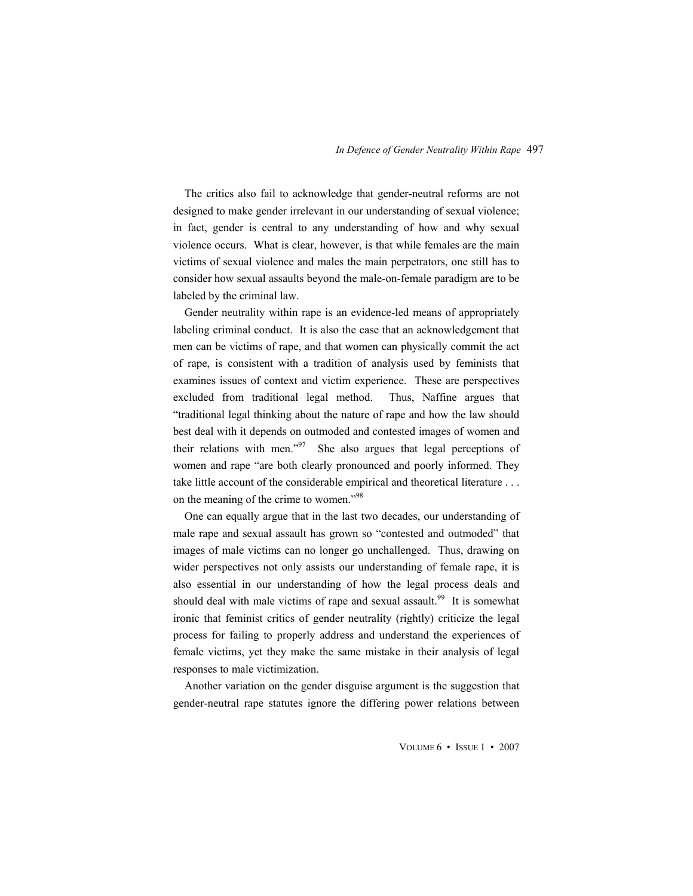The critics also fail to acknowledge that gender-neutral reforms are not designed to make gender irrelevant in our understanding of sexual violence; in fact, gender is central to any understanding of how and why sexual violence occurs. What is clear, however, is that while females are the main victims of sexual violence and males the main perpetrators, one still has to consider how sexual assaults beyond the male-on-female paradigm are to be labeled by the criminal law.

Gender neutrality within rape is an evidence-led means of appropriately labeling criminal conduct. It is also the case that an acknowledgement that men can be victims of rape, and that women can physically commit the act of rape, is consistent with a tradition of analysis used by feminists that examines issues of context and victim experience. These are perspectives excluded from traditional legal method. Thus, Naffine argues that "traditional legal thinking about the nature of rape and how the law should best deal with it depends on outmoded and contested images of women and their relations with men." $97$  She also argues that legal perceptions of women and rape "are both clearly pronounced and poorly informed. They take little account of the considerable empirical and theoretical literature . . . on the meaning of the crime to women."98

One can equally argue that in the last two decades, our understanding of male rape and sexual assault has grown so "contested and outmoded" that images of male victims can no longer go unchallenged. Thus, drawing on wider perspectives not only assists our understanding of female rape, it is also essential in our understanding of how the legal process deals and should deal with male victims of rape and sexual assault.<sup>99</sup> It is somewhat ironic that feminist critics of gender neutrality (rightly) criticize the legal process for failing to properly address and understand the experiences of female victims, yet they make the same mistake in their analysis of legal responses to male victimization.

Another variation on the gender disguise argument is the suggestion that gender-neutral rape statutes ignore the differing power relations between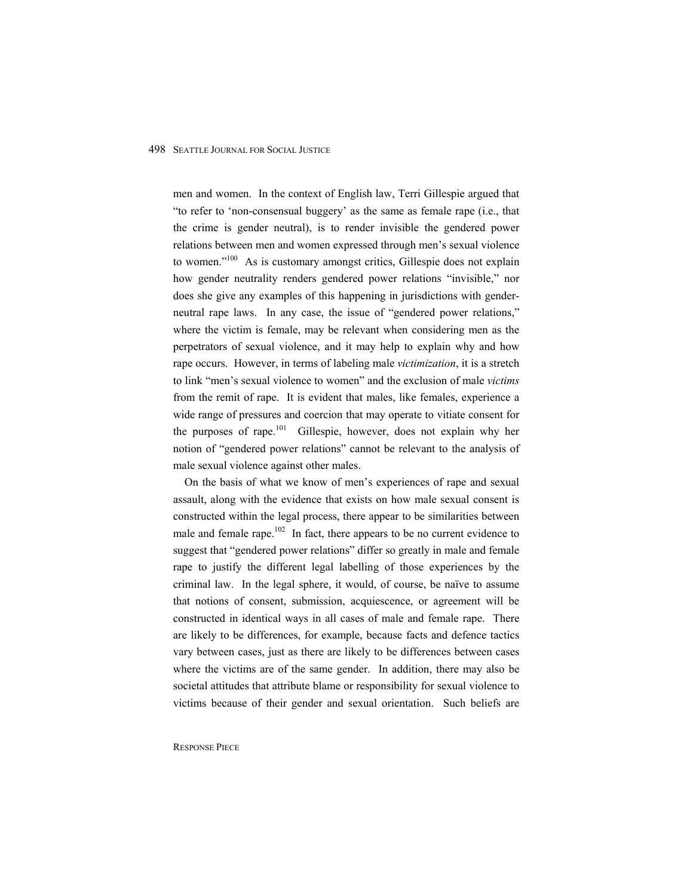men and women. In the context of English law, Terri Gillespie argued that "to refer to 'non-consensual buggery' as the same as female rape (i.e., that the crime is gender neutral), is to render invisible the gendered power relations between men and women expressed through men's sexual violence to women."<sup>100</sup> As is customary amongst critics, Gillespie does not explain how gender neutrality renders gendered power relations "invisible," nor does she give any examples of this happening in jurisdictions with genderneutral rape laws. In any case, the issue of "gendered power relations," where the victim is female, may be relevant when considering men as the perpetrators of sexual violence, and it may help to explain why and how rape occurs. However, in terms of labeling male *victimization*, it is a stretch to link "men's sexual violence to women" and the exclusion of male *victims*  from the remit of rape. It is evident that males, like females, experience a wide range of pressures and coercion that may operate to vitiate consent for the purposes of rape.<sup>101</sup> Gillespie, however, does not explain why her notion of "gendered power relations" cannot be relevant to the analysis of male sexual violence against other males.

On the basis of what we know of men's experiences of rape and sexual assault, along with the evidence that exists on how male sexual consent is constructed within the legal process, there appear to be similarities between male and female rape.<sup>102</sup> In fact, there appears to be no current evidence to suggest that "gendered power relations" differ so greatly in male and female rape to justify the different legal labelling of those experiences by the criminal law. In the legal sphere, it would, of course, be naïve to assume that notions of consent, submission, acquiescence, or agreement will be constructed in identical ways in all cases of male and female rape. There are likely to be differences, for example, because facts and defence tactics vary between cases, just as there are likely to be differences between cases where the victims are of the same gender. In addition, there may also be societal attitudes that attribute blame or responsibility for sexual violence to victims because of their gender and sexual orientation. Such beliefs are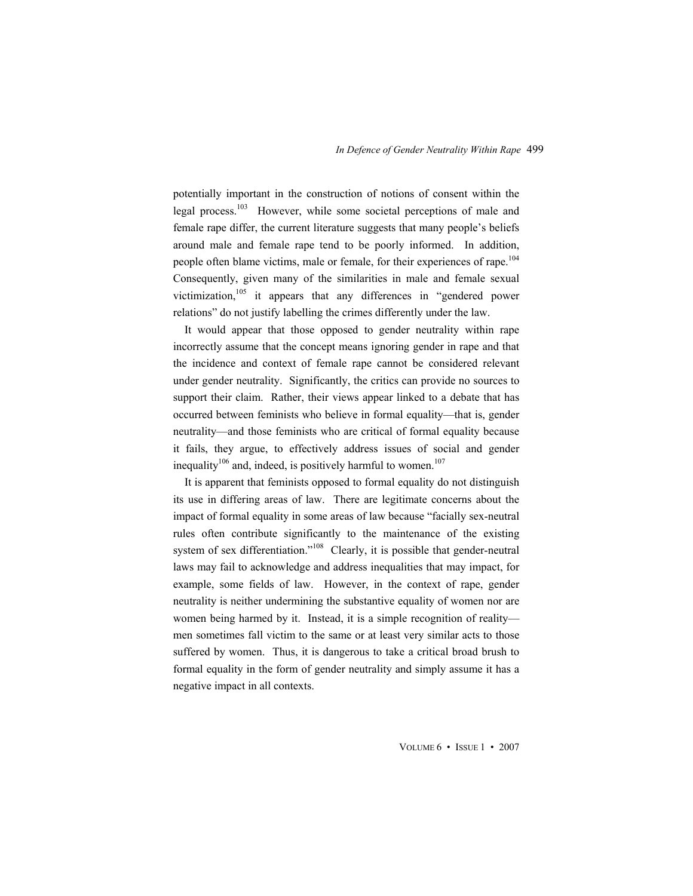potentially important in the construction of notions of consent within the legal process.<sup>103</sup> However, while some societal perceptions of male and female rape differ, the current literature suggests that many people's beliefs around male and female rape tend to be poorly informed. In addition, people often blame victims, male or female, for their experiences of rape.<sup>104</sup> Consequently, given many of the similarities in male and female sexual victimization, $105$  it appears that any differences in "gendered power relations" do not justify labelling the crimes differently under the law.

It would appear that those opposed to gender neutrality within rape incorrectly assume that the concept means ignoring gender in rape and that the incidence and context of female rape cannot be considered relevant under gender neutrality. Significantly, the critics can provide no sources to support their claim. Rather, their views appear linked to a debate that has occurred between feminists who believe in formal equality—that is, gender neutrality—and those feminists who are critical of formal equality because it fails, they argue, to effectively address issues of social and gender inequality<sup>106</sup> and, indeed, is positively harmful to women.<sup>107</sup>

It is apparent that feminists opposed to formal equality do not distinguish its use in differing areas of law. There are legitimate concerns about the impact of formal equality in some areas of law because "facially sex-neutral rules often contribute significantly to the maintenance of the existing system of sex differentiation."<sup>108</sup> Clearly, it is possible that gender-neutral laws may fail to acknowledge and address inequalities that may impact, for example, some fields of law. However, in the context of rape, gender neutrality is neither undermining the substantive equality of women nor are women being harmed by it. Instead, it is a simple recognition of reality men sometimes fall victim to the same or at least very similar acts to those suffered by women. Thus, it is dangerous to take a critical broad brush to formal equality in the form of gender neutrality and simply assume it has a negative impact in all contexts.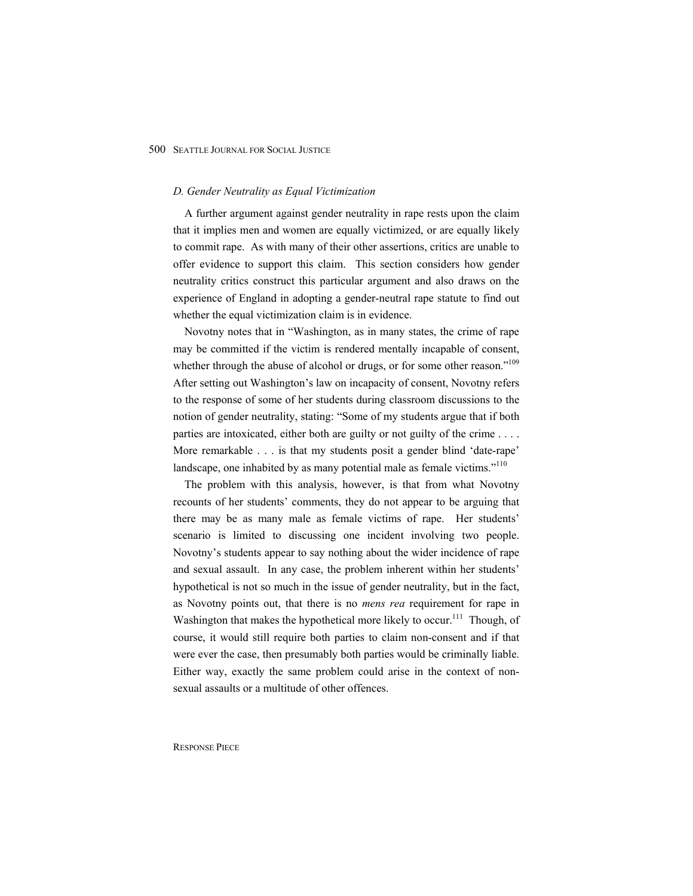#### *D. Gender Neutrality as Equal Victimization*

A further argument against gender neutrality in rape rests upon the claim that it implies men and women are equally victimized, or are equally likely to commit rape. As with many of their other assertions, critics are unable to offer evidence to support this claim. This section considers how gender neutrality critics construct this particular argument and also draws on the experience of England in adopting a gender-neutral rape statute to find out whether the equal victimization claim is in evidence.

Novotny notes that in "Washington, as in many states, the crime of rape may be committed if the victim is rendered mentally incapable of consent, whether through the abuse of alcohol or drugs, or for some other reason."<sup>109</sup> After setting out Washington's law on incapacity of consent, Novotny refers to the response of some of her students during classroom discussions to the notion of gender neutrality, stating: "Some of my students argue that if both parties are intoxicated, either both are guilty or not guilty of the crime . . . . More remarkable . . . is that my students posit a gender blind 'date-rape' landscape, one inhabited by as many potential male as female victims."<sup>110</sup>

The problem with this analysis, however, is that from what Novotny recounts of her students' comments, they do not appear to be arguing that there may be as many male as female victims of rape. Her students' scenario is limited to discussing one incident involving two people. Novotny's students appear to say nothing about the wider incidence of rape and sexual assault. In any case, the problem inherent within her students' hypothetical is not so much in the issue of gender neutrality, but in the fact, as Novotny points out, that there is no *mens rea* requirement for rape in Washington that makes the hypothetical more likely to occur.<sup>111</sup> Though, of course, it would still require both parties to claim non-consent and if that were ever the case, then presumably both parties would be criminally liable. Either way, exactly the same problem could arise in the context of nonsexual assaults or a multitude of other offences.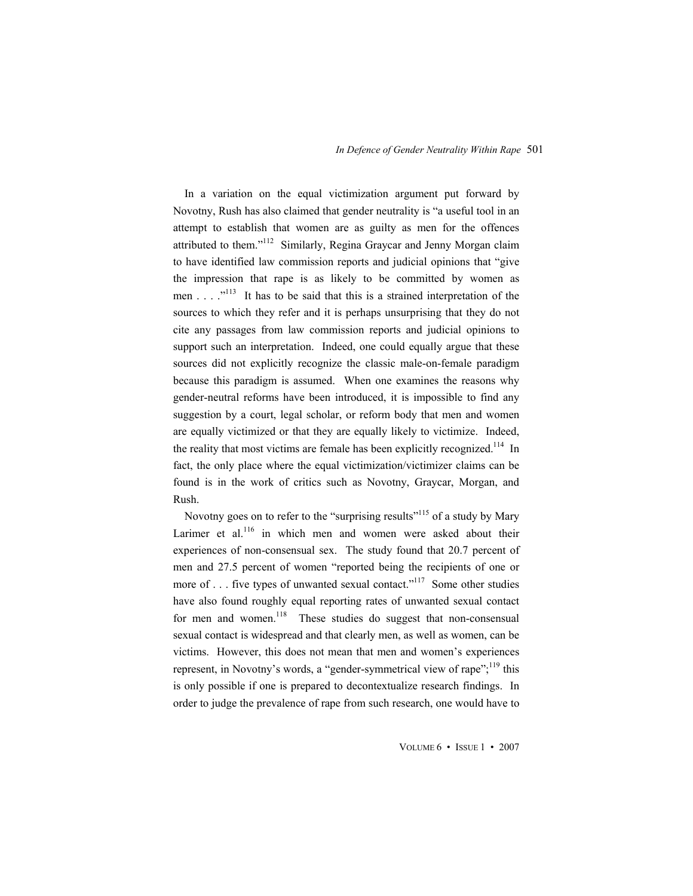In a variation on the equal victimization argument put forward by Novotny, Rush has also claimed that gender neutrality is "a useful tool in an attempt to establish that women are as guilty as men for the offences attributed to them."<sup>112</sup> Similarly, Regina Graycar and Jenny Morgan claim to have identified law commission reports and judicial opinions that "give the impression that rape is as likely to be committed by women as men . . .  $\cdot$ <sup>113</sup> It has to be said that this is a strained interpretation of the sources to which they refer and it is perhaps unsurprising that they do not cite any passages from law commission reports and judicial opinions to support such an interpretation. Indeed, one could equally argue that these sources did not explicitly recognize the classic male-on-female paradigm because this paradigm is assumed. When one examines the reasons why gender-neutral reforms have been introduced, it is impossible to find any suggestion by a court, legal scholar, or reform body that men and women are equally victimized or that they are equally likely to victimize. Indeed, the reality that most victims are female has been explicitly recognized.<sup>114</sup> In fact, the only place where the equal victimization/victimizer claims can be found is in the work of critics such as Novotny, Graycar, Morgan, and Rush.

Novotny goes on to refer to the "surprising results"<sup>115</sup> of a study by Mary Larimer et al. $^{116}$  in which men and women were asked about their experiences of non-consensual sex. The study found that 20.7 percent of men and 27.5 percent of women "reported being the recipients of one or more of  $\ldots$  five types of unwanted sexual contact."<sup>117</sup> Some other studies have also found roughly equal reporting rates of unwanted sexual contact for men and women. $118$  These studies do suggest that non-consensual sexual contact is widespread and that clearly men, as well as women, can be victims. However, this does not mean that men and women's experiences represent, in Novotny's words, a "gender-symmetrical view of rape";<sup>119</sup> this is only possible if one is prepared to decontextualize research findings. In order to judge the prevalence of rape from such research, one would have to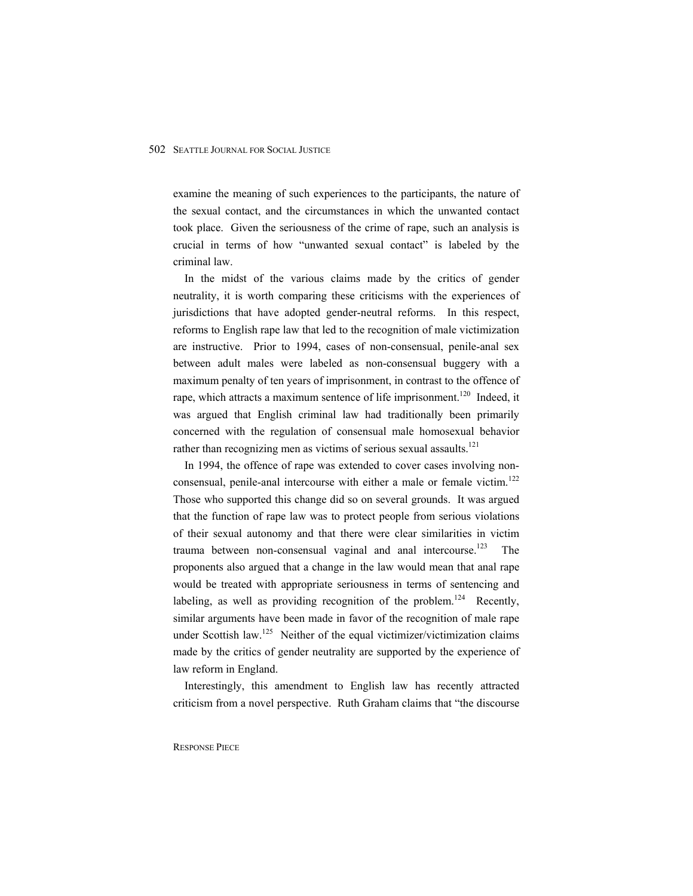examine the meaning of such experiences to the participants, the nature of the sexual contact, and the circumstances in which the unwanted contact took place. Given the seriousness of the crime of rape, such an analysis is crucial in terms of how "unwanted sexual contact" is labeled by the criminal law.

In the midst of the various claims made by the critics of gender neutrality, it is worth comparing these criticisms with the experiences of jurisdictions that have adopted gender-neutral reforms. In this respect, reforms to English rape law that led to the recognition of male victimization are instructive. Prior to 1994, cases of non-consensual, penile-anal sex between adult males were labeled as non-consensual buggery with a maximum penalty of ten years of imprisonment, in contrast to the offence of rape, which attracts a maximum sentence of life imprisonment.<sup>120</sup> Indeed, it was argued that English criminal law had traditionally been primarily concerned with the regulation of consensual male homosexual behavior rather than recognizing men as victims of serious sexual assaults. $121$ 

In 1994, the offence of rape was extended to cover cases involving nonconsensual, penile-anal intercourse with either a male or female victim.<sup>122</sup> Those who supported this change did so on several grounds. It was argued that the function of rape law was to protect people from serious violations of their sexual autonomy and that there were clear similarities in victim trauma between non-consensual vaginal and anal intercourse.<sup>123</sup> The proponents also argued that a change in the law would mean that anal rape would be treated with appropriate seriousness in terms of sentencing and labeling, as well as providing recognition of the problem.<sup>124</sup> Recently, similar arguments have been made in favor of the recognition of male rape under Scottish law.<sup>125</sup> Neither of the equal victimizer/victimization claims made by the critics of gender neutrality are supported by the experience of law reform in England.

Interestingly, this amendment to English law has recently attracted criticism from a novel perspective. Ruth Graham claims that "the discourse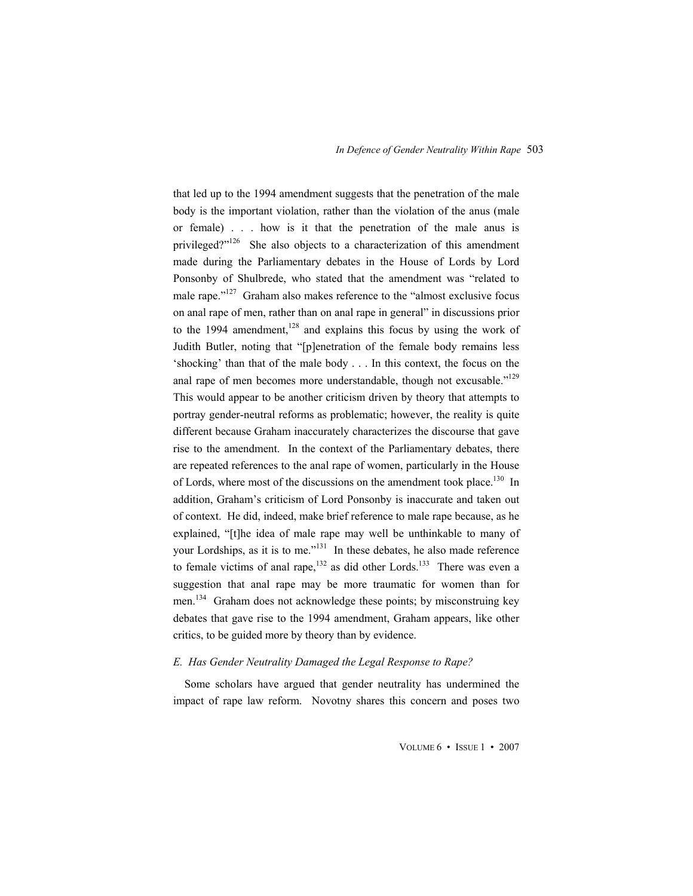that led up to the 1994 amendment suggests that the penetration of the male body is the important violation, rather than the violation of the anus (male or female) . . . how is it that the penetration of the male anus is privileged?"<sup>126</sup> She also objects to a characterization of this amendment made during the Parliamentary debates in the House of Lords by Lord Ponsonby of Shulbrede, who stated that the amendment was "related to male rape."<sup>127</sup> Graham also makes reference to the "almost exclusive focus on anal rape of men, rather than on anal rape in general" in discussions prior to the 1994 amendment,  $128$  and explains this focus by using the work of Judith Butler, noting that "[p]enetration of the female body remains less 'shocking' than that of the male body . . . In this context, the focus on the anal rape of men becomes more understandable, though not excusable."<sup>129</sup> This would appear to be another criticism driven by theory that attempts to portray gender-neutral reforms as problematic; however, the reality is quite different because Graham inaccurately characterizes the discourse that gave rise to the amendment. In the context of the Parliamentary debates, there are repeated references to the anal rape of women, particularly in the House of Lords, where most of the discussions on the amendment took place.<sup>130</sup> In addition, Graham's criticism of Lord Ponsonby is inaccurate and taken out of context. He did, indeed, make brief reference to male rape because, as he explained, "[t]he idea of male rape may well be unthinkable to many of your Lordships, as it is to me."131 In these debates, he also made reference to female victims of anal rape, $132$  as did other Lords.<sup>133</sup> There was even a suggestion that anal rape may be more traumatic for women than for men.<sup>134</sup> Graham does not acknowledge these points; by misconstruing key debates that gave rise to the 1994 amendment, Graham appears, like other critics, to be guided more by theory than by evidence.

#### *E. Has Gender Neutrality Damaged the Legal Response to Rape?*

Some scholars have argued that gender neutrality has undermined the impact of rape law reform. Novotny shares this concern and poses two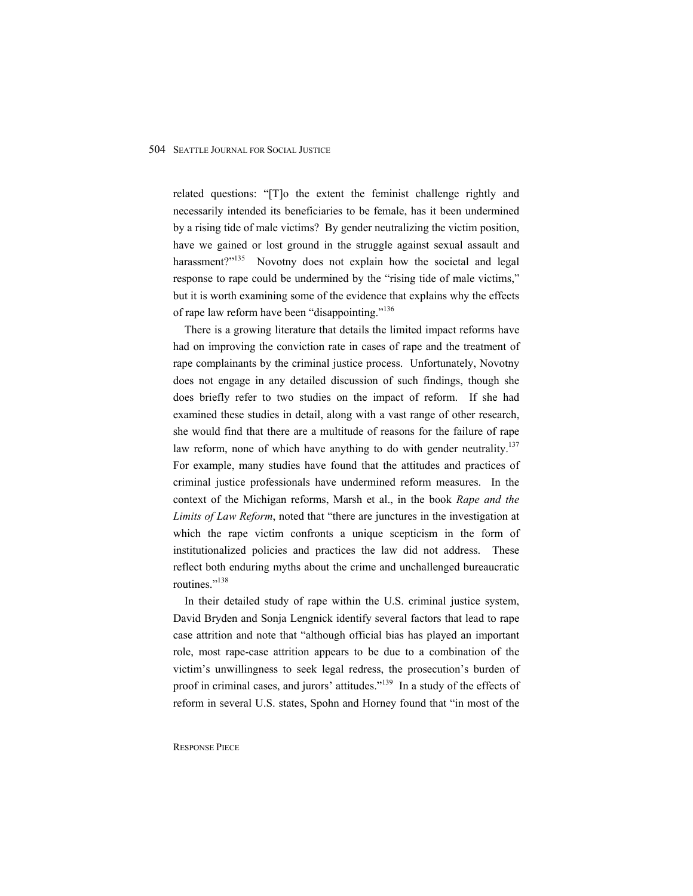related questions: "[T]o the extent the feminist challenge rightly and necessarily intended its beneficiaries to be female, has it been undermined by a rising tide of male victims? By gender neutralizing the victim position, have we gained or lost ground in the struggle against sexual assault and harassment?"<sup>135</sup> Novotny does not explain how the societal and legal response to rape could be undermined by the "rising tide of male victims," but it is worth examining some of the evidence that explains why the effects of rape law reform have been "disappointing."<sup>136</sup>

There is a growing literature that details the limited impact reforms have had on improving the conviction rate in cases of rape and the treatment of rape complainants by the criminal justice process. Unfortunately, Novotny does not engage in any detailed discussion of such findings, though she does briefly refer to two studies on the impact of reform. If she had examined these studies in detail, along with a vast range of other research, she would find that there are a multitude of reasons for the failure of rape law reform, none of which have anything to do with gender neutrality.<sup>137</sup> For example, many studies have found that the attitudes and practices of criminal justice professionals have undermined reform measures. In the context of the Michigan reforms, Marsh et al., in the book *Rape and the Limits of Law Reform*, noted that "there are junctures in the investigation at which the rape victim confronts a unique scepticism in the form of institutionalized policies and practices the law did not address. These reflect both enduring myths about the crime and unchallenged bureaucratic routines."<sup>138</sup>

In their detailed study of rape within the U.S. criminal justice system, David Bryden and Sonja Lengnick identify several factors that lead to rape case attrition and note that "although official bias has played an important role, most rape-case attrition appears to be due to a combination of the victim's unwillingness to seek legal redress, the prosecution's burden of proof in criminal cases, and jurors' attitudes."139 In a study of the effects of reform in several U.S. states, Spohn and Horney found that "in most of the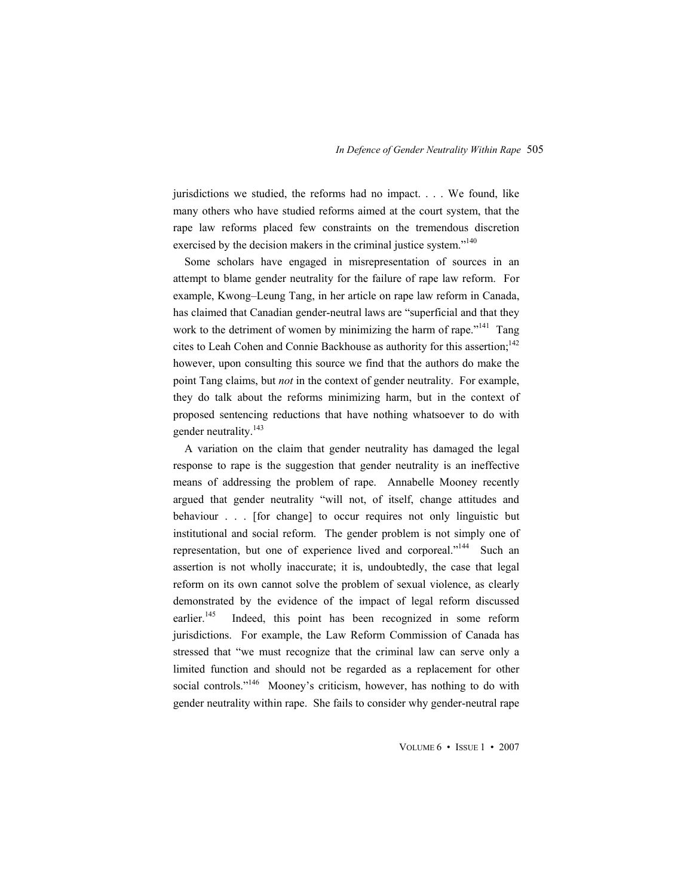jurisdictions we studied, the reforms had no impact. . . . We found, like many others who have studied reforms aimed at the court system, that the rape law reforms placed few constraints on the tremendous discretion exercised by the decision makers in the criminal justice system."<sup>140</sup>

Some scholars have engaged in misrepresentation of sources in an attempt to blame gender neutrality for the failure of rape law reform. For example, Kwong–Leung Tang, in her article on rape law reform in Canada, has claimed that Canadian gender-neutral laws are "superficial and that they work to the detriment of women by minimizing the harm of rape."<sup>141</sup> Tang cites to Leah Cohen and Connie Backhouse as authority for this assertion;<sup>142</sup> however, upon consulting this source we find that the authors do make the point Tang claims, but *not* in the context of gender neutrality. For example, they do talk about the reforms minimizing harm, but in the context of proposed sentencing reductions that have nothing whatsoever to do with gender neutrality.<sup>143</sup>

A variation on the claim that gender neutrality has damaged the legal response to rape is the suggestion that gender neutrality is an ineffective means of addressing the problem of rape. Annabelle Mooney recently argued that gender neutrality "will not, of itself, change attitudes and behaviour . . . [for change] to occur requires not only linguistic but institutional and social reform. The gender problem is not simply one of representation, but one of experience lived and corporeal."<sup>144</sup> Such an assertion is not wholly inaccurate; it is, undoubtedly, the case that legal reform on its own cannot solve the problem of sexual violence, as clearly demonstrated by the evidence of the impact of legal reform discussed earlier.<sup>145</sup> Indeed, this point has been recognized in some reform jurisdictions. For example, the Law Reform Commission of Canada has stressed that "we must recognize that the criminal law can serve only a limited function and should not be regarded as a replacement for other social controls."<sup>146</sup> Mooney's criticism, however, has nothing to do with gender neutrality within rape. She fails to consider why gender-neutral rape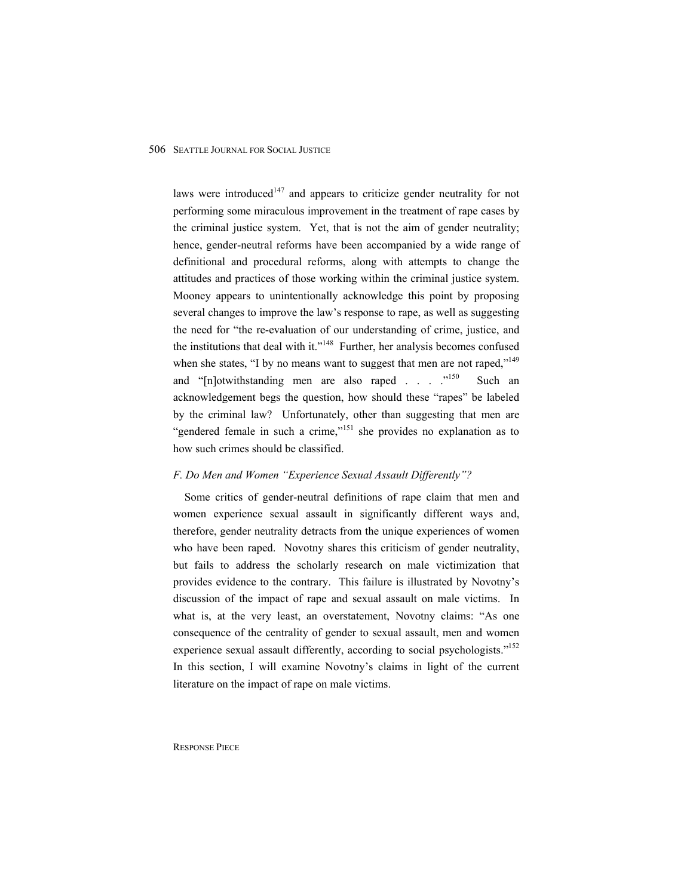laws were introduced<sup>147</sup> and appears to criticize gender neutrality for not performing some miraculous improvement in the treatment of rape cases by the criminal justice system. Yet, that is not the aim of gender neutrality; hence, gender-neutral reforms have been accompanied by a wide range of definitional and procedural reforms, along with attempts to change the attitudes and practices of those working within the criminal justice system. Mooney appears to unintentionally acknowledge this point by proposing several changes to improve the law's response to rape, as well as suggesting the need for "the re-evaluation of our understanding of crime, justice, and the institutions that deal with it."<sup>148</sup> Further, her analysis becomes confused when she states, "I by no means want to suggest that men are not raped,"<sup>149</sup> and "[n]otwithstanding men are also raped . . . . . <sup>3150</sup> Such an acknowledgement begs the question, how should these "rapes" be labeled by the criminal law? Unfortunately, other than suggesting that men are "gendered female in such a crime,"<sup>151</sup> she provides no explanation as to how such crimes should be classified.

#### *F. Do Men and Women "Experience Sexual Assault Differently"?*

Some critics of gender-neutral definitions of rape claim that men and women experience sexual assault in significantly different ways and, therefore, gender neutrality detracts from the unique experiences of women who have been raped. Novotny shares this criticism of gender neutrality, but fails to address the scholarly research on male victimization that provides evidence to the contrary. This failure is illustrated by Novotny's discussion of the impact of rape and sexual assault on male victims. In what is, at the very least, an overstatement, Novotny claims: "As one consequence of the centrality of gender to sexual assault, men and women experience sexual assault differently, according to social psychologists."<sup>152</sup> In this section, I will examine Novotny's claims in light of the current literature on the impact of rape on male victims.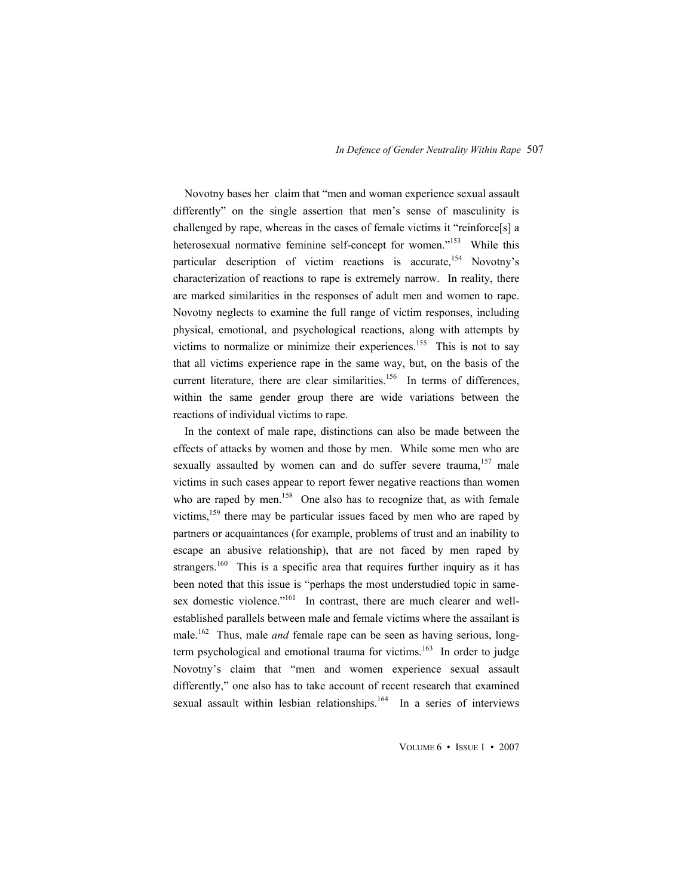Novotny bases her claim that "men and woman experience sexual assault differently" on the single assertion that men's sense of masculinity is challenged by rape, whereas in the cases of female victims it "reinforce[s] a heterosexual normative feminine self-concept for women."<sup>153</sup> While this particular description of victim reactions is accurate,<sup>154</sup> Novotny's characterization of reactions to rape is extremely narrow. In reality, there are marked similarities in the responses of adult men and women to rape. Novotny neglects to examine the full range of victim responses, including physical, emotional, and psychological reactions, along with attempts by victims to normalize or minimize their experiences.<sup>155</sup> This is not to say that all victims experience rape in the same way, but, on the basis of the current literature, there are clear similarities.<sup>156</sup> In terms of differences, within the same gender group there are wide variations between the reactions of individual victims to rape.

In the context of male rape, distinctions can also be made between the effects of attacks by women and those by men. While some men who are sexually assaulted by women can and do suffer severe trauma,<sup>157</sup> male victims in such cases appear to report fewer negative reactions than women who are raped by men.<sup>158</sup> One also has to recognize that, as with female victims,  $159$  there may be particular issues faced by men who are raped by partners or acquaintances (for example, problems of trust and an inability to escape an abusive relationship), that are not faced by men raped by strangers.<sup>160</sup> This is a specific area that requires further inquiry as it has been noted that this issue is "perhaps the most understudied topic in samesex domestic violence."<sup>161</sup> In contrast, there are much clearer and wellestablished parallels between male and female victims where the assailant is male.<sup>162</sup> Thus, male *and* female rape can be seen as having serious, longterm psychological and emotional trauma for victims.<sup>163</sup> In order to judge Novotny's claim that "men and women experience sexual assault differently," one also has to take account of recent research that examined sexual assault within lesbian relationships.<sup>164</sup> In a series of interviews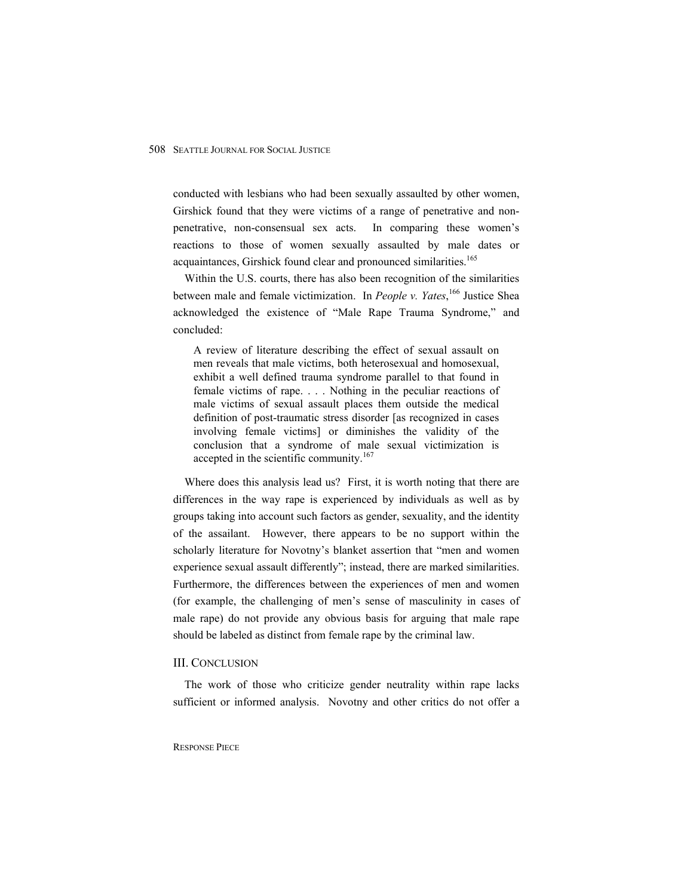conducted with lesbians who had been sexually assaulted by other women, Girshick found that they were victims of a range of penetrative and nonpenetrative, non-consensual sex acts. In comparing these women's reactions to those of women sexually assaulted by male dates or acquaintances, Girshick found clear and pronounced similarities.<sup>165</sup>

Within the U.S. courts, there has also been recognition of the similarities between male and female victimization. In *People v. Yates*, 166 Justice Shea acknowledged the existence of "Male Rape Trauma Syndrome," and concluded:

A review of literature describing the effect of sexual assault on men reveals that male victims, both heterosexual and homosexual, exhibit a well defined trauma syndrome parallel to that found in female victims of rape. . . . Nothing in the peculiar reactions of male victims of sexual assault places them outside the medical definition of post-traumatic stress disorder [as recognized in cases involving female victims] or diminishes the validity of the conclusion that a syndrome of male sexual victimization is accepted in the scientific community.<sup>167</sup>

Where does this analysis lead us? First, it is worth noting that there are differences in the way rape is experienced by individuals as well as by groups taking into account such factors as gender, sexuality, and the identity of the assailant. However, there appears to be no support within the scholarly literature for Novotny's blanket assertion that "men and women experience sexual assault differently"; instead, there are marked similarities. Furthermore, the differences between the experiences of men and women (for example, the challenging of men's sense of masculinity in cases of male rape) do not provide any obvious basis for arguing that male rape should be labeled as distinct from female rape by the criminal law.

#### III. CONCLUSION

The work of those who criticize gender neutrality within rape lacks sufficient or informed analysis. Novotny and other critics do not offer a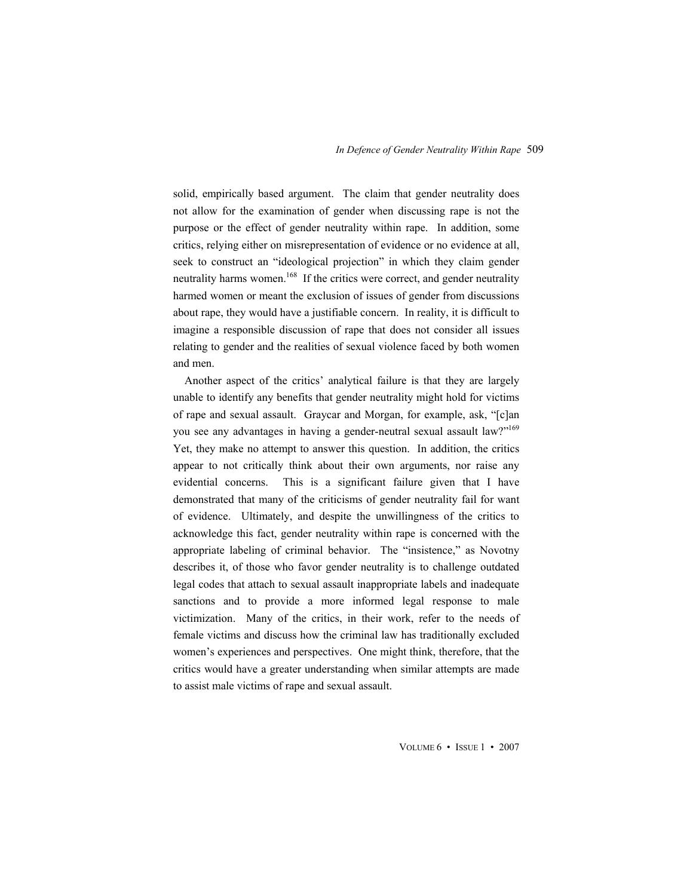solid, empirically based argument. The claim that gender neutrality does not allow for the examination of gender when discussing rape is not the purpose or the effect of gender neutrality within rape. In addition, some critics, relying either on misrepresentation of evidence or no evidence at all, seek to construct an "ideological projection" in which they claim gender neutrality harms women.<sup>168</sup> If the critics were correct, and gender neutrality harmed women or meant the exclusion of issues of gender from discussions about rape, they would have a justifiable concern. In reality, it is difficult to imagine a responsible discussion of rape that does not consider all issues relating to gender and the realities of sexual violence faced by both women and men.

Another aspect of the critics' analytical failure is that they are largely unable to identify any benefits that gender neutrality might hold for victims of rape and sexual assault. Graycar and Morgan, for example, ask, "[c]an you see any advantages in having a gender-neutral sexual assault law?"<sup>169</sup> Yet, they make no attempt to answer this question. In addition, the critics appear to not critically think about their own arguments, nor raise any evidential concerns. This is a significant failure given that I have demonstrated that many of the criticisms of gender neutrality fail for want of evidence. Ultimately, and despite the unwillingness of the critics to acknowledge this fact, gender neutrality within rape is concerned with the appropriate labeling of criminal behavior. The "insistence," as Novotny describes it, of those who favor gender neutrality is to challenge outdated legal codes that attach to sexual assault inappropriate labels and inadequate sanctions and to provide a more informed legal response to male victimization. Many of the critics, in their work, refer to the needs of female victims and discuss how the criminal law has traditionally excluded women's experiences and perspectives. One might think, therefore, that the critics would have a greater understanding when similar attempts are made to assist male victims of rape and sexual assault.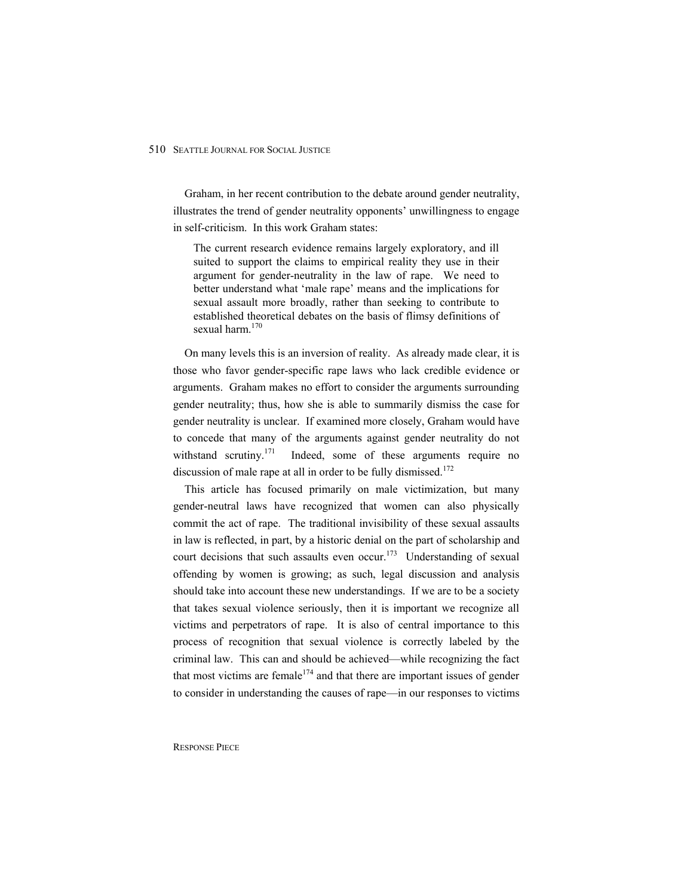Graham, in her recent contribution to the debate around gender neutrality, illustrates the trend of gender neutrality opponents' unwillingness to engage in self-criticism. In this work Graham states:

The current research evidence remains largely exploratory, and ill suited to support the claims to empirical reality they use in their argument for gender-neutrality in the law of rape. We need to better understand what 'male rape' means and the implications for sexual assault more broadly, rather than seeking to contribute to established theoretical debates on the basis of flimsy definitions of sexual harm.<sup>170</sup>

On many levels this is an inversion of reality. As already made clear, it is those who favor gender-specific rape laws who lack credible evidence or arguments. Graham makes no effort to consider the arguments surrounding gender neutrality; thus, how she is able to summarily dismiss the case for gender neutrality is unclear. If examined more closely, Graham would have to concede that many of the arguments against gender neutrality do not withstand scrutiny.<sup>171</sup> Indeed, some of these arguments require no discussion of male rape at all in order to be fully dismissed.<sup>172</sup>

This article has focused primarily on male victimization, but many gender-neutral laws have recognized that women can also physically commit the act of rape. The traditional invisibility of these sexual assaults in law is reflected, in part, by a historic denial on the part of scholarship and court decisions that such assaults even occur.<sup>173</sup> Understanding of sexual offending by women is growing; as such, legal discussion and analysis should take into account these new understandings. If we are to be a society that takes sexual violence seriously, then it is important we recognize all victims and perpetrators of rape. It is also of central importance to this process of recognition that sexual violence is correctly labeled by the criminal law. This can and should be achieved—while recognizing the fact that most victims are female<sup>174</sup> and that there are important issues of gender to consider in understanding the causes of rape—in our responses to victims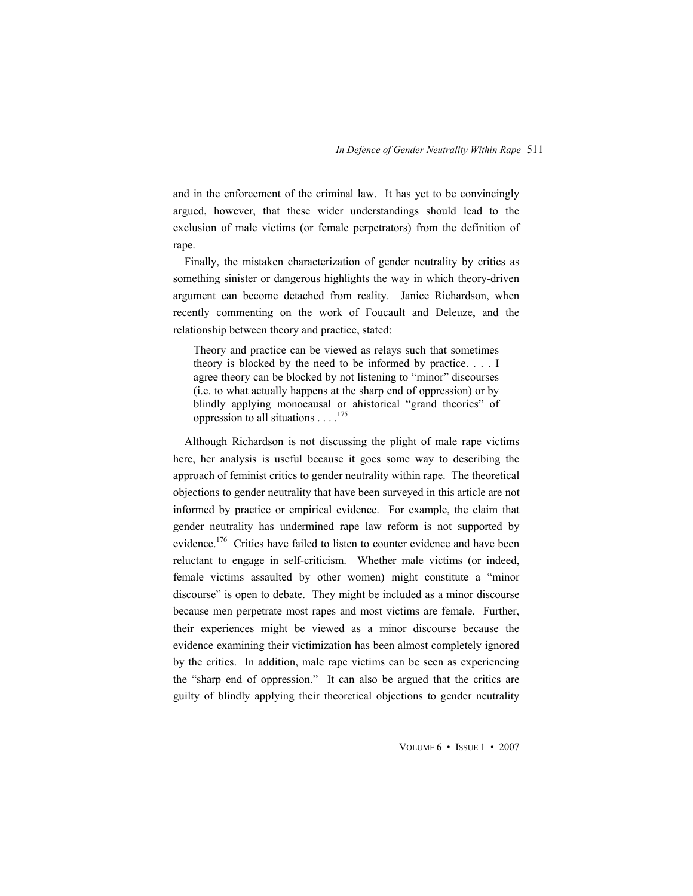and in the enforcement of the criminal law. It has yet to be convincingly argued, however, that these wider understandings should lead to the exclusion of male victims (or female perpetrators) from the definition of rape.

Finally, the mistaken characterization of gender neutrality by critics as something sinister or dangerous highlights the way in which theory-driven argument can become detached from reality. Janice Richardson, when recently commenting on the work of Foucault and Deleuze, and the relationship between theory and practice, stated:

Theory and practice can be viewed as relays such that sometimes theory is blocked by the need to be informed by practice. . . . I agree theory can be blocked by not listening to "minor" discourses (i.e. to what actually happens at the sharp end of oppression) or by blindly applying monocausal or ahistorical "grand theories" of oppression to all situations . . . .175

Although Richardson is not discussing the plight of male rape victims here, her analysis is useful because it goes some way to describing the approach of feminist critics to gender neutrality within rape. The theoretical objections to gender neutrality that have been surveyed in this article are not informed by practice or empirical evidence. For example, the claim that gender neutrality has undermined rape law reform is not supported by evidence.<sup>176</sup> Critics have failed to listen to counter evidence and have been reluctant to engage in self-criticism. Whether male victims (or indeed, female victims assaulted by other women) might constitute a "minor discourse" is open to debate. They might be included as a minor discourse because men perpetrate most rapes and most victims are female. Further, their experiences might be viewed as a minor discourse because the evidence examining their victimization has been almost completely ignored by the critics. In addition, male rape victims can be seen as experiencing the "sharp end of oppression." It can also be argued that the critics are guilty of blindly applying their theoretical objections to gender neutrality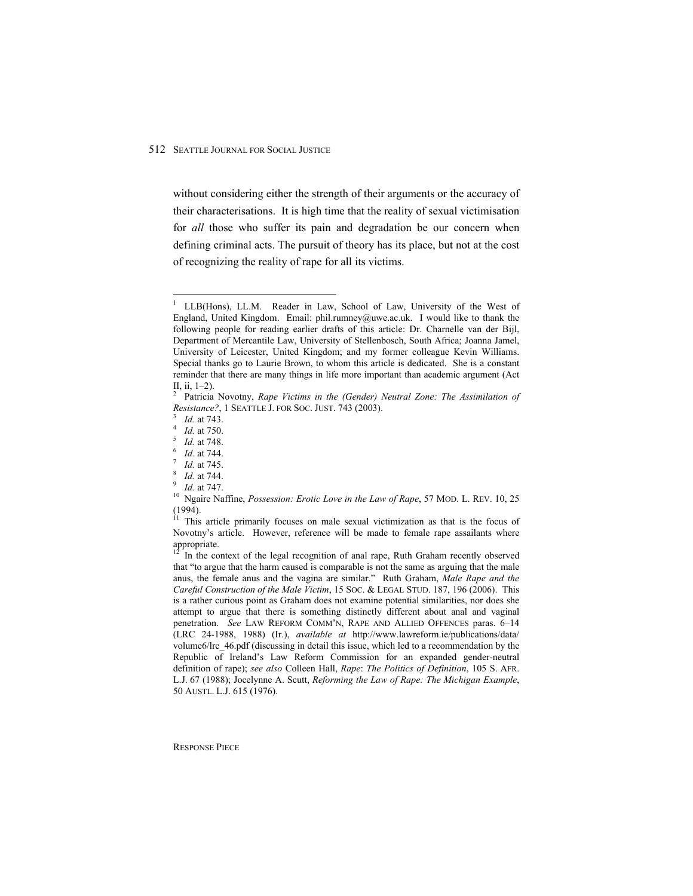without considering either the strength of their arguments or the accuracy of their characterisations. It is high time that the reality of sexual victimisation for *all* those who suffer its pain and degradation be our concern when defining criminal acts. The pursuit of theory has its place, but not at the cost of recognizing the reality of rape for all its victims.

 $\overline{a}$ 

<sup>1</sup> LLB(Hons), LL.M. Reader in Law, School of Law, University of the West of England, United Kingdom. Email: phil.rumney@uwe.ac.uk. I would like to thank the following people for reading earlier drafts of this article: Dr. Charnelle van der Bijl, Department of Mercantile Law, University of Stellenbosch, South Africa; Joanna Jamel, University of Leicester, United Kingdom; and my former colleague Kevin Williams. Special thanks go to Laurie Brown, to whom this article is dedicated. She is a constant reminder that there are many things in life more important than academic argument (Act II, ii, 1–2).

<sup>2</sup> Patricia Novotny, *Rape Victims in the (Gender) Neutral Zone: The Assimilation of Resistance?*, 1 SEATTLE J. FOR SOC. JUST. 743 (2003).

*Id.* at 743.

*Id.* at 750.

*Id.* at 748.

*Id.* at 744.<br>*Id.* at 745.

*Id.* at 745.<br><sup>8</sup> *Id.* at 744.

 $\frac{1}{9}$  *Id.* at 744.

<sup>&</sup>lt;sup>9</sup> *Id.* at 747.<br><sup>10</sup> Ngaire Naffine, *Possession: Erotic Love in the Law of Rape*, 57 MOD. L. REV. 10, 25 (1994).

 $11$  This article primarily focuses on male sexual victimization as that is the focus of Novotny's article. However, reference will be made to female rape assailants where appropriate.

In the context of the legal recognition of anal rape, Ruth Graham recently observed that "to argue that the harm caused is comparable is not the same as arguing that the male anus, the female anus and the vagina are similar." Ruth Graham, *Male Rape and the Careful Construction of the Male Victim*, 15 SOC. & LEGAL STUD. 187, 196 (2006). This is a rather curious point as Graham does not examine potential similarities, nor does she attempt to argue that there is something distinctly different about anal and vaginal penetration. *See* LAW REFORM COMM'N, RAPE AND ALLIED OFFENCES paras. 6–14 (LRC 24-1988, 1988) (Ir.), *available at* http://www.lawreform.ie/publications/data/ volume6/lrc\_46.pdf (discussing in detail this issue, which led to a recommendation by the Republic of Ireland's Law Reform Commission for an expanded gender-neutral definition of rape); *see also* Colleen Hall, *Rape*: *The Politics of Definition*, 105 S. AFR. L.J. 67 (1988); Jocelynne A. Scutt, *Reforming the Law of Rape: The Michigan Example*, 50 AUSTL. L.J. 615 (1976).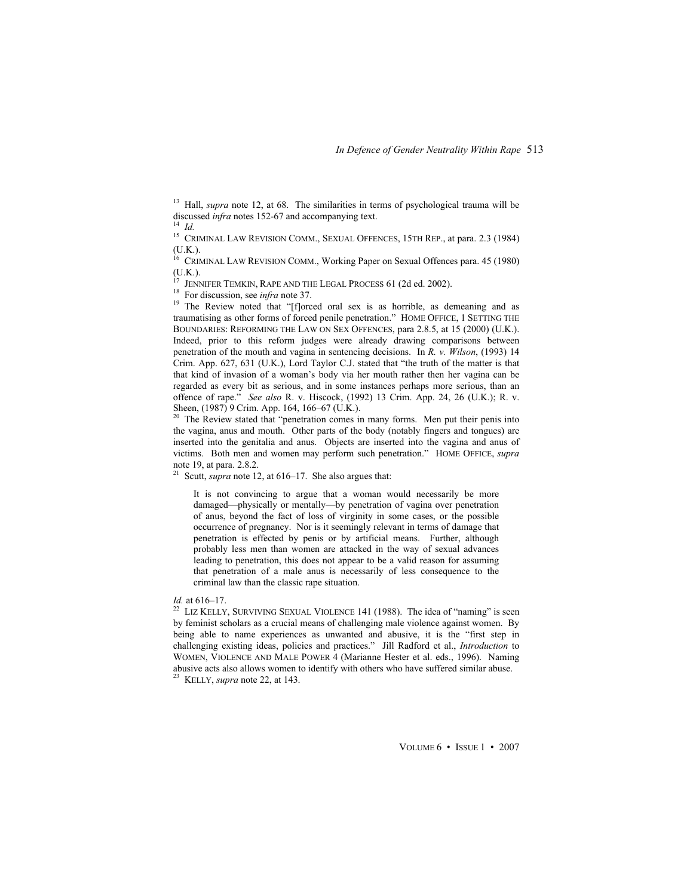<sup>13</sup> Hall, *supra* note 12, at 68. The similarities in terms of psychological trauma will be discussed *infra* notes 152-67 and accompanying text. <sup>14</sup> *Id.*

<sup>15</sup> CRIMINAL LAW REVISION COMM., SEXUAL OFFENCES, 15TH REP., at para. 2.3 (1984) (U.K.).

<sup>16</sup> CRIMINAL LAW REVISION COMM., Working Paper on Sexual Offences para. 45 (1980) (U.K.).<br><sup>17</sup> JENNIFER TEMKIN, RAPE AND THE LEGAL PROCESS 61 (2d ed. 2002).

<sup>18</sup> For discussion, see *infra* note 37.<br><sup>19</sup> The Review noted that "[f]orced oral sex is as horrible, as demeaning and as traumatising as other forms of forced penile penetration." HOME OFFICE, 1 SETTING THE BOUNDARIES: REFORMING THE LAW ON SEX OFFENCES, para 2.8.5, at 15 (2000) (U.K.). Indeed, prior to this reform judges were already drawing comparisons between penetration of the mouth and vagina in sentencing decisions. In *R. v. Wilson*, (1993) 14 Crim. App. 627, 631 (U.K.), Lord Taylor C.J. stated that "the truth of the matter is that that kind of invasion of a woman's body via her mouth rather then her vagina can be regarded as every bit as serious, and in some instances perhaps more serious, than an offence of rape." *See also* R. v. Hiscock, (1992) 13 Crim. App. 24, 26 (U.K.); R. v. Sheen, (1987) 9 Crim. App. 164, 166–67 (U.K.).

<sup>20</sup> The Review stated that "penetration comes in many forms. Men put their penis into the vagina, anus and mouth. Other parts of the body (notably fingers and tongues) are inserted into the genitalia and anus. Objects are inserted into the vagina and anus of victims. Both men and women may perform such penetration." HOME OFFICE, *supra*  note 19, at para. 2.8.2.

<sup>21</sup> Scutt, *supra* note 12, at  $616-17$ . She also argues that:

It is not convincing to argue that a woman would necessarily be more damaged—physically or mentally—by penetration of vagina over penetration of anus, beyond the fact of loss of virginity in some cases, or the possible occurrence of pregnancy. Nor is it seemingly relevant in terms of damage that penetration is effected by penis or by artificial means. Further, although probably less men than women are attacked in the way of sexual advances leading to penetration, this does not appear to be a valid reason for assuming that penetration of a male anus is necessarily of less consequence to the criminal law than the classic rape situation.

*Id.* at 616–17.<br><sup>22</sup> LIZ KELLY, SURVIVING SEXUAL VIOLENCE 141 (1988). The idea of "naming" is seen by feminist scholars as a crucial means of challenging male violence against women. By being able to name experiences as unwanted and abusive, it is the "first step in challenging existing ideas, policies and practices." Jill Radford et al., *Introduction* to WOMEN, VIOLENCE AND MALE POWER 4 (Marianne Hester et al. eds., 1996). Naming abusive acts also allows women to identify with others who have suffered similar abuse. 23 KELLY, *supra* note 22, at 143.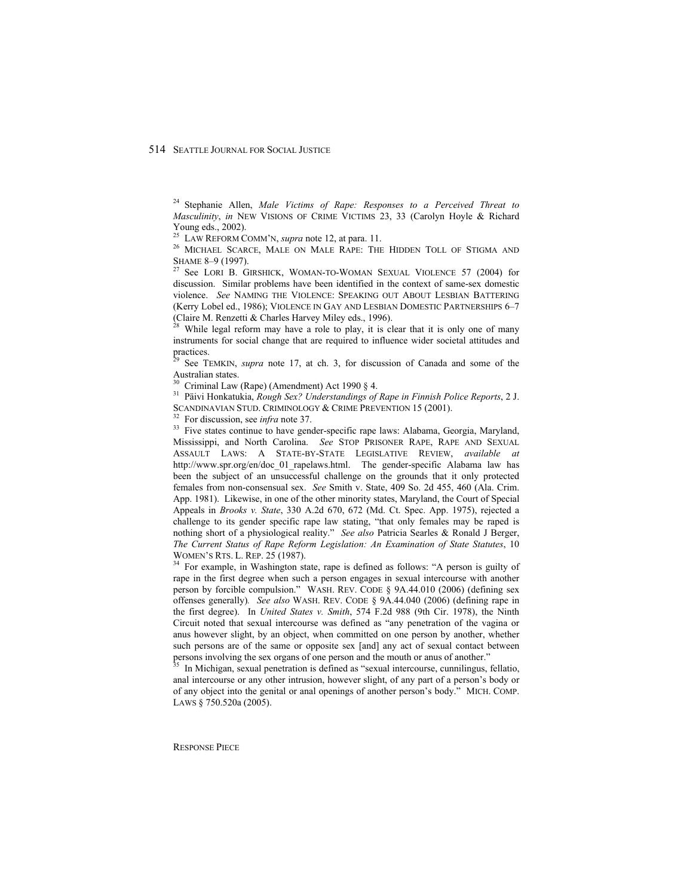24 Stephanie Allen, *Male Victims of Rape: Responses to a Perceived Threat to Masculinity*, *in* NEW VISIONS OF CRIME VICTIMS 23, 33 (Carolyn Hoyle & Richard Young eds., 2002).

<sup>25</sup> LAW REFORM COMM'N, *supra* note 12, at para. 11.<br><sup>26</sup> MICHAEL SCARCE, MALE ON MALE RAPE: THE HIDDEN TOLL OF STIGMA AND SHAME 8–9 (1997).

 $^{27}$  See LORI B. GIRSHICK, WOMAN-TO-WOMAN SEXUAL VIOLENCE 57 (2004) for discussion. Similar problems have been identified in the context of same-sex domestic violence. *See* NAMING THE VIOLENCE: SPEAKING OUT ABOUT LESBIAN BATTERING (Kerry Lobel ed., 1986); VIOLENCE IN GAY AND LESBIAN DOMESTIC PARTNERSHIPS 6–7 (Claire M. Renzetti & Charles Harvey Miley eds., 1996).

While legal reform may have a role to play, it is clear that it is only one of many instruments for social change that are required to influence wider societal attitudes and practices.

See TEMKIN, *supra* note 17, at ch. 3, for discussion of Canada and some of the Australian states.

Criminal Law (Rape) (Amendment) Act 1990  $§$  4.

31 Päivi Honkatukia, *Rough Sex? Understandings of Rape in Finnish Police Reports*, 2 J.

<sup>32</sup> For discussion, see *infra* note 37.<br><sup>33</sup> Five states continue to have gender-specific rape laws: Alabama, Georgia, Maryland, Mississippi, and North Carolina. *See* STOP PRISONER RAPE, RAPE AND SEXUAL ASSAULT LAWS: A STATE-BY-STATE LEGISLATIVE REVIEW, *available at*  http://www.spr.org/en/doc\_01\_rapelaws.html. The gender-specific Alabama law has been the subject of an unsuccessful challenge on the grounds that it only protected females from non-consensual sex. *See* Smith v. State, 409 So. 2d 455, 460 (Ala. Crim. App. 1981). Likewise, in one of the other minority states, Maryland, the Court of Special Appeals in *Brooks v. State*, 330 A.2d 670, 672 (Md. Ct. Spec. App. 1975), rejected a challenge to its gender specific rape law stating, "that only females may be raped is nothing short of a physiological reality." *See also* Patricia Searles & Ronald J Berger, *The Current Status of Rape Reform Legislation: An Examination of State Statutes*, 10

<sup>34</sup> For example, in Washington state, rape is defined as follows: "A person is guilty of rape in the first degree when such a person engages in sexual intercourse with another person by forcible compulsion." WASH. REV. CODE § 9A.44.010 (2006) (defining sex offenses generally)*. See also* WASH. REV. CODE § 9A.44.040 (2006) (defining rape in the first degree). In *United States v. Smith*, 574 F.2d 988 (9th Cir. 1978), the Ninth Circuit noted that sexual intercourse was defined as "any penetration of the vagina or anus however slight, by an object, when committed on one person by another, whether such persons are of the same or opposite sex [and] any act of sexual contact between persons involving the sex organs of one person and the mouth or anus of another."<br><sup>35</sup> In Michigan, sexual penetration is defined as "sexual intercourse, cunnilingus, fellatio,

anal intercourse or any other intrusion, however slight, of any part of a person's body or of any object into the genital or anal openings of another person's body." MICH. COMP. LAWS § 750.520a (2005).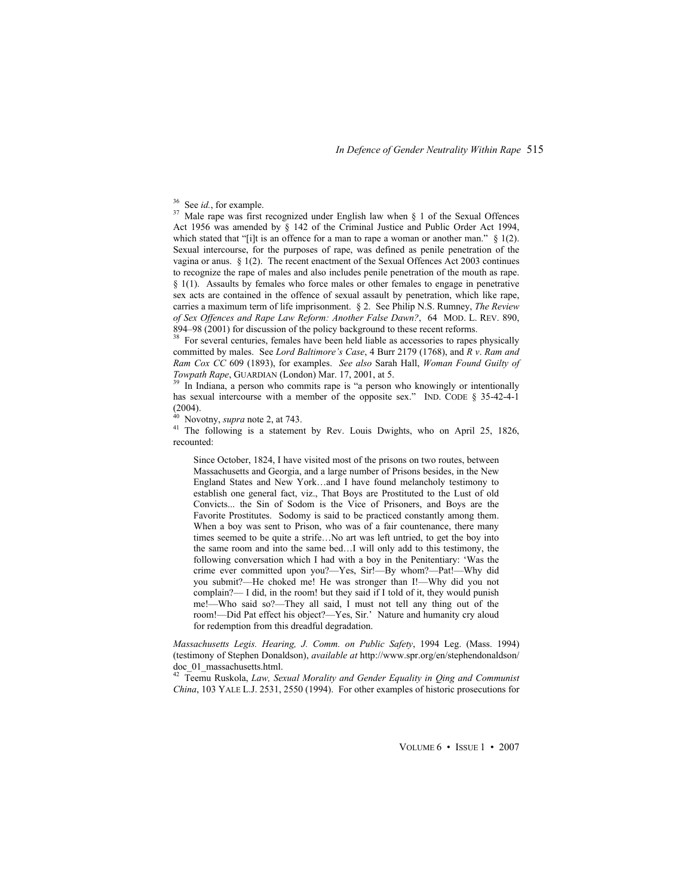<sup>36</sup> See *id.*, for example.<br><sup>37</sup> Male rape was first recognized under English law when § 1 of the Sexual Offences Act 1956 was amended by § 142 of the Criminal Justice and Public Order Act 1994, which stated that "[i]t is an offence for a man to rape a woman or another man."  $\S$  1(2). Sexual intercourse, for the purposes of rape, was defined as penile penetration of the vagina or anus. § 1(2). The recent enactment of the Sexual Offences Act 2003 continues to recognize the rape of males and also includes penile penetration of the mouth as rape. § 1(1). Assaults by females who force males or other females to engage in penetrative sex acts are contained in the offence of sexual assault by penetration, which like rape, carries a maximum term of life imprisonment. § 2. See Philip N.S. Rumney, *The Review of Sex Offences and Rape Law Reform: Another False Dawn?*, 64 MOD. L. REV. 890, 894–98 (2001) for discussion of the policy background to these recent reforms.

<sup>38</sup> For several centuries, females have been held liable as accessories to rapes physically committed by males. See *Lord Baltimore's Case*, 4 Burr 2179 (1768), and *R v*. *Ram and Ram Cox CC* 609 (1893), for examples. *See also* Sarah Hall, *Woman Found Guilty of Towpath Rape*, GUARDIAN (London) Mar. 17, 2001, at 5.<br><sup>39</sup> In Indiana, a person who commits rape is "a person who knowingly or intentionally

has sexual intercourse with a member of the opposite sex." IND. CODE § 35-42-4-1  $(2004)$ .<br><sup>40</sup> Novotny, *supra* note 2, at 743.

<sup>41</sup> The following is a statement by Rev. Louis Dwights, who on April 25, 1826, recounted:

Since October, 1824, I have visited most of the prisons on two routes, between Massachusetts and Georgia, and a large number of Prisons besides, in the New England States and New York…and I have found melancholy testimony to establish one general fact, viz., That Boys are Prostituted to the Lust of old Convicts... the Sin of Sodom is the Vice of Prisoners, and Boys are the Favorite Prostitutes. Sodomy is said to be practiced constantly among them. When a boy was sent to Prison, who was of a fair countenance, there many times seemed to be quite a strife…No art was left untried, to get the boy into the same room and into the same bed…I will only add to this testimony, the following conversation which I had with a boy in the Penitentiary: 'Was the crime ever committed upon you?—Yes, Sir!—By whom?—Pat!—Why did you submit?—He choked me! He was stronger than I!—Why did you not complain?— I did, in the room! but they said if I told of it, they would punish me!—Who said so?—They all said, I must not tell any thing out of the room!—Did Pat effect his object?—Yes, Sir.' Nature and humanity cry aloud for redemption from this dreadful degradation.

*Massachusetts Legis. Hearing, J. Comm. on Public Safety*, 1994 Leg. (Mass. 1994) (testimony of Stephen Donaldson), *available at* http://www.spr.org/en/stephendonaldson/ doc\_01\_massachusetts.html.

42 Teemu Ruskola, *Law, Sexual Morality and Gender Equality in Qing and Communist China*, 103 YALE L.J. 2531, 2550 (1994). For other examples of historic prosecutions for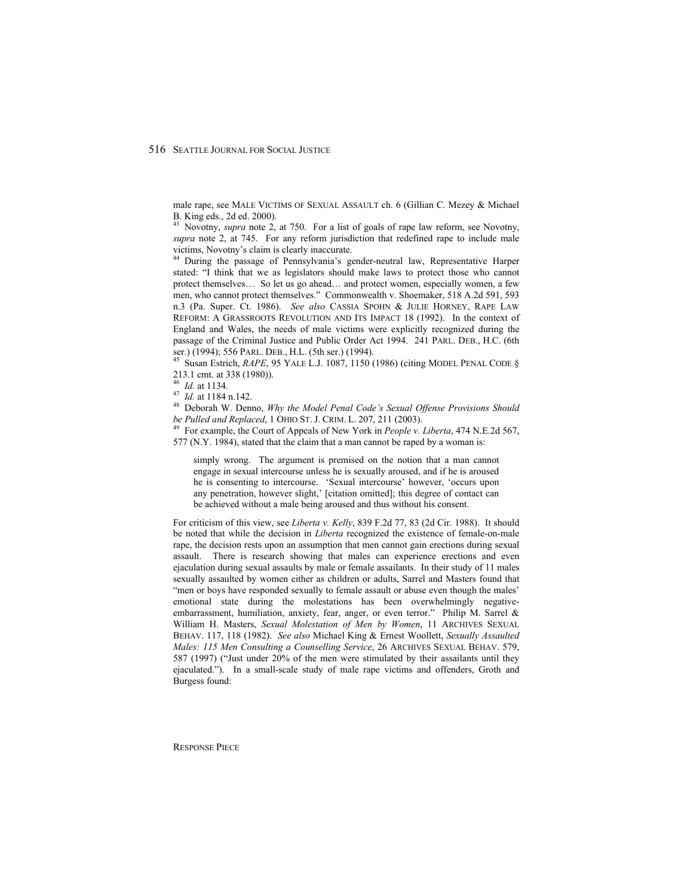male rape, see MALE VICTIMS OF SEXUAL ASSAULT ch. 6 (Gillian C. Mezey & Michael B. King eds., 2d ed. 2000).

<sup>43</sup> Novotny, *supra* note 2, at 750. For a list of goals of rape law reform, see Novotny, *supra* note 2, at 745. For any reform jurisdiction that redefined rape to include male victims, Novotny's claim is clearly inaccurate.

44 During the passage of Pennsylvania's gender-neutral law, Representative Harper stated: "I think that we as legislators should make laws to protect those who cannot protect themselves… So let us go ahead… and protect women, especially women, a few men, who cannot protect themselves." Commonwealth v. Shoemaker, 518 A.2d 591, 593 n.3 (Pa. Super. Ct. 1986). *See also* CASSIA SPOHN & JULIE HORNEY, RAPE LAW REFORM: A GRASSROOTS REVOLUTION AND ITS IMPACT 18 (1992). In the context of England and Wales, the needs of male victims were explicitly recognized during the passage of the Criminal Justice and Public Order Act 1994. 241 PARL. DEB., H.C. (6th ser.) (1994); 556 PARL. DEB., H.L. (5th ser.) (1994).<br><sup>45</sup> Susan Estrich, *RAPE*, 95 YALE L.J. 1087, 1150 (1986) (citing MODEL PENAL CODE §

213.1 cmt. at 338 (1980)).<br><sup>46</sup> Id. at 1134.

47 *Id.* at 1184 n.142.<br><sup>47</sup> *Id.* at 1184 n.142.<br><sup>48</sup> Deborah W. Denno, *Why the Model Penal Code's Sexual Offense Provisions Should be Pulled and Replaced, 1 OHIO ST. J. CRIM. L. 207, 211 (2003).* 

For example, the Court of Appeals of New York in *People v. Liberta*, 474 N.E.2d 567, 577 (N.Y. 1984), stated that the claim that a man cannot be raped by a woman is:

simply wrong. The argument is premised on the notion that a man cannot engage in sexual intercourse unless he is sexually aroused, and if he is aroused he is consenting to intercourse. 'Sexual intercourse' however, 'occurs upon any penetration, however slight,' [citation omitted]; this degree of contact can be achieved without a male being aroused and thus without his consent.

For criticism of this view, see *Liberta v. Kelly*, 839 F.2d 77, 83 (2d Cir. 1988). It should be noted that while the decision in *Liberta* recognized the existence of female-on-male rape, the decision rests upon an assumption that men cannot gain erections during sexual assault. There is research showing that males can experience erections and even ejaculation during sexual assaults by male or female assailants. In their study of 11 males sexually assaulted by women either as children or adults, Sarrel and Masters found that "men or boys have responded sexually to female assault or abuse even though the males' emotional state during the molestations has been overwhelmingly negativeembarrassment, humiliation, anxiety, fear, anger, or even terror." Philip M. Sarrel & William H. Masters, *Sexual Molestation of Men by Women*, 11 ARCHIVES SEXUAL BEHAV. 117, 118 (1982). *See also* Michael King & Ernest Woollett, *Sexually Assaulted Males: 115 Men Consulting a Counselling Service*, 26 ARCHIVES SEXUAL BEHAV. 579, 587 (1997) ("Just under 20% of the men were stimulated by their assailants until they ejaculated."). In a small-scale study of male rape victims and offenders, Groth and Burgess found: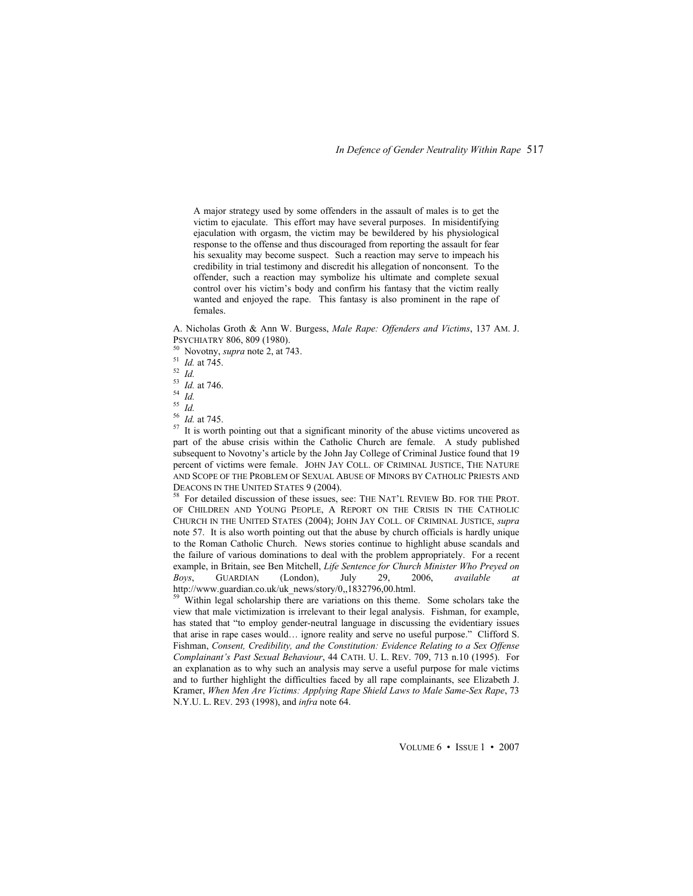A major strategy used by some offenders in the assault of males is to get the victim to ejaculate. This effort may have several purposes. In misidentifying ejaculation with orgasm, the victim may be bewildered by his physiological response to the offense and thus discouraged from reporting the assault for fear his sexuality may become suspect. Such a reaction may serve to impeach his credibility in trial testimony and discredit his allegation of nonconsent. To the offender, such a reaction may symbolize his ultimate and complete sexual control over his victim's body and confirm his fantasy that the victim really wanted and enjoyed the rape. This fantasy is also prominent in the rape of females.

A. Nicholas Groth & Ann W. Burgess, *Male Rape: Offenders and Victims*, 137 AM. J. PSYCHIATRY 806, 809 (1980). 50 Novotny, *supra* note 2, at 743. 51 *Id.* at 745. 52 *Id.*

<sup>53</sup> *Id.* at 746. 54 *Id.*

 $\frac{55}{56}$  *Id.* at 745.

<sup>57</sup> It is worth pointing out that a significant minority of the abuse victims uncovered as part of the abuse crisis within the Catholic Church are female. A study published subsequent to Novotny's article by the John Jay College of Criminal Justice found that 19 percent of victims were female. JOHN JAY COLL. OF CRIMINAL JUSTICE, THE NATURE AND SCOPE OF THE PROBLEM OF SEXUAL ABUSE OF MINORS BY CATHOLIC PRIESTS AND DEACONS IN THE UNITED STATES 9 (2004). 58 For detailed discussion of these issues, see: THE NAT'L REVIEW BD. FOR THE PROT.

OF CHILDREN AND YOUNG PEOPLE, A REPORT ON THE CRISIS IN THE CATHOLIC CHURCH IN THE UNITED STATES (2004); JOHN JAY COLL. OF CRIMINAL JUSTICE, *supra*  note 57. It is also worth pointing out that the abuse by church officials is hardly unique to the Roman Catholic Church. News stories continue to highlight abuse scandals and the failure of various dominations to deal with the problem appropriately. For a recent example, in Britain, see Ben Mitchell, *Life Sentence for Church Minister Who Preyed on Boys*, GUARDIAN (London), July 29, 2006, *available at* http://www.guardian.co.uk/uk\_news/story/0,,1832796,00.html.

<sup>59</sup> Within legal scholarship there are variations on this theme. Some scholars take the view that male victimization is irrelevant to their legal analysis. Fishman, for example, has stated that "to employ gender-neutral language in discussing the evidentiary issues that arise in rape cases would… ignore reality and serve no useful purpose." Clifford S. Fishman, *Consent, Credibility, and the Constitution: Evidence Relating to a Sex Offense Complainant's Past Sexual Behaviour*, 44 CATH. U. L. REV. 709, 713 n.10 (1995). For an explanation as to why such an analysis may serve a useful purpose for male victims and to further highlight the difficulties faced by all rape complainants, see Elizabeth J. Kramer, *When Men Are Victims: Applying Rape Shield Laws to Male Same-Sex Rape*, 73 N.Y.U. L. REV. 293 (1998), and *infra* note 64.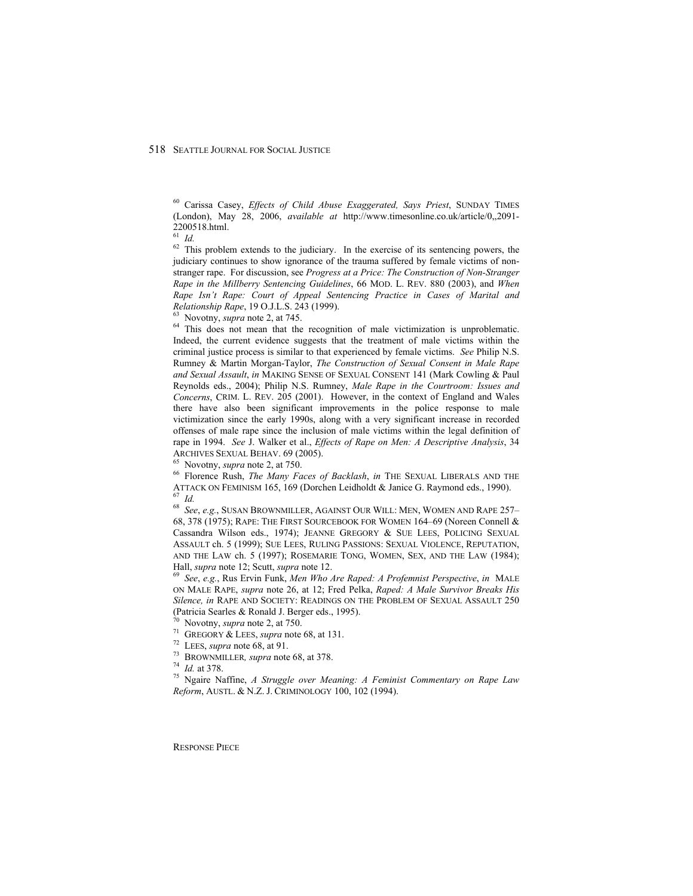60 Carissa Casey, *Effects of Child Abuse Exaggerated, Says Priest*, SUNDAY TIMES (London), May 28, 2006, *available at* http://www.timesonline.co.uk/article/0,,2091- 2200518.html.

 $\overline{61}$  *Id.* 

 $62$  This problem extends to the judiciary. In the exercise of its sentencing powers, the judiciary continues to show ignorance of the trauma suffered by female victims of nonstranger rape. For discussion, see *Progress at a Price: The Construction of Non-Stranger Rape in the Millberry Sentencing Guidelines*, 66 MOD. L. REV. 880 (2003), and *When Rape Isn't Rape: Court of Appeal Sentencing Practice in Cases of Marital and Relationship Rape*, 19 O.J.L.S. 243 (1999).<br><sup>63</sup> Novotny, *supra* note 2, at 745.<br><sup>64</sup> This does not mean that the recognition of male victimization is unproblematic.

Indeed, the current evidence suggests that the treatment of male victims within the criminal justice process is similar to that experienced by female victims. *See* Philip N.S. Rumney & Martin Morgan-Taylor, *The Construction of Sexual Consent in Male Rape and Sexual Assault*, *in* MAKING SENSE OF SEXUAL CONSENT 141 (Mark Cowling & Paul Reynolds eds., 2004); Philip N.S. Rumney, *Male Rape in the Courtroom: Issues and Concerns*, CRIM. L. REV. 205 (2001). However, in the context of England and Wales there have also been significant improvements in the police response to male victimization since the early 1990s, along with a very significant increase in recorded offenses of male rape since the inclusion of male victims within the legal definition of rape in 1994. *See* J. Walker et al., *Effects of Rape on Men: A Descriptive Analysis*, 34 ARCHIVES SEXUAL BEHAV. 69 (2005).<br><sup>65</sup> Novotny, *supra* note 2, at 750.<br><sup>66</sup> Florence Rush, *The Many Faces of Backlash*, *in* THE SEXUAL LIBERALS AND THE

ATTACK ON FEMINISM 165, 169 (Dorchen Leidholdt & Janice G. Raymond eds., 1990). 67 *Id.*

<sup>68</sup> *See*, *e.g.*, SUSAN BROWNMILLER, AGAINST OUR WILL: MEN, WOMEN AND RAPE 257– 68, 378 (1975); RAPE: THE FIRST SOURCEBOOK FOR WOMEN 164–69 (Noreen Connell & Cassandra Wilson eds., 1974); JEANNE GREGORY & SUE LEES, POLICING SEXUAL ASSAULT ch. 5 (1999); SUE LEES, RULING PASSIONS: SEXUAL VIOLENCE, REPUTATION, AND THE LAW ch. 5 (1997); ROSEMARIE TONG, WOMEN, SEX, AND THE LAW (1984);

Hall, *supra* note 12; Scutt, *supra* note 12.<br><sup>69</sup> See, e.g., Rus Ervin Funk, *Men Who Are Raped: A Profemnist Perspective*, *in* MALE ON MALE RAPE, *supra* note 26, at 12; Fred Pelka, *Raped: A Male Survivor Breaks His Silence, in* RAPE AND SOCIETY: READINGS ON THE PROBLEM OF SEXUAL ASSAULT 250 (Patricia Searles & Ronald J. Berger eds., 1995).

<sup>70</sup> Novotny, *supra* note 2, at 750.<br>
<sup>71</sup> GREGORY & LEES, *supra* note 68, at 131.<br>
<sup>72</sup> LEES, *supra* note 68, at 91.<br>
<sup>73</sup> BROWNMILLER, *supra* note 68, at 378.<br>
<sup>74</sup> *Id.* at 378.<br>
<sup>75</sup> Ngaire Naffine, *A Struggle ov Reform*, AUSTL. & N.Z. J. CRIMINOLOGY 100, 102 (1994).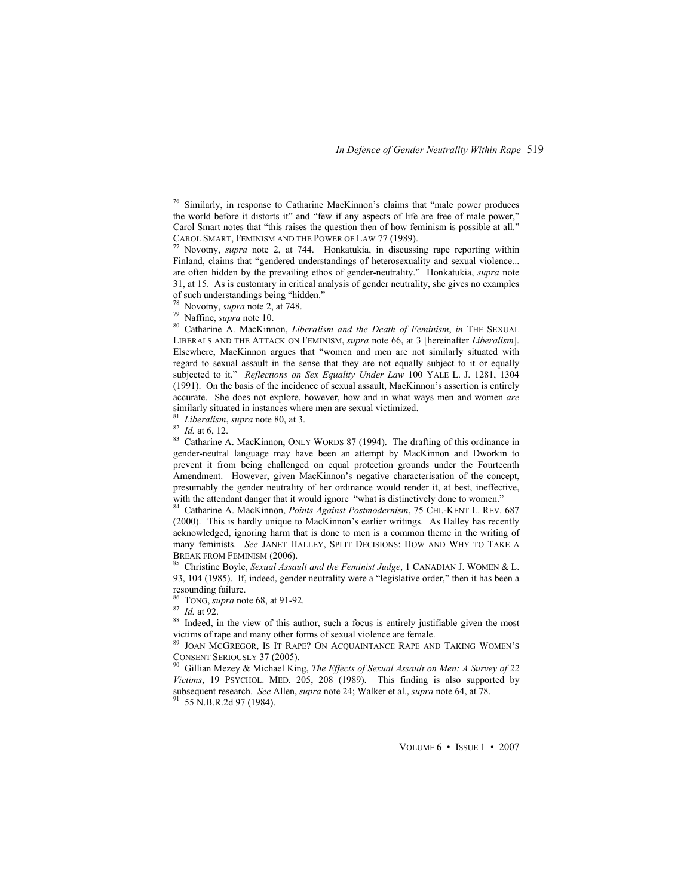76 Similarly, in response to Catharine MacKinnon's claims that "male power produces the world before it distorts it" and "few if any aspects of life are free of male power," Carol Smart notes that "this raises the question then of how feminism is possible at all." CAROL SMART, FEMINISM AND THE POWER OF LAW 77 (1989).<br><sup>77</sup> Novotny, *supra* note 2, at 744. Honkatukia, in discussing rape reporting within

Finland, claims that "gendered understandings of heterosexuality and sexual violence... are often hidden by the prevailing ethos of gender-neutrality." Honkatukia, *supra* note 31, at 15. As is customary in critical analysis of gender neutrality, she gives no examples of such understandings being "hidden."

<sup>78</sup> Novotny, *supra* note 2, at 748.<br><sup>79</sup> Naffine, *supra* note 10.<br><sup>80</sup> Catharine A. MacKinnon, *Liberalism and the Death of Feminism*, *in* THE SEXUAL LIBERALS AND THE ATTACK ON FEMINISM, *supra* note 66, at 3 [hereinafter *Liberalism*]. Elsewhere, MacKinnon argues that "women and men are not similarly situated with regard to sexual assault in the sense that they are not equally subject to it or equally subjected to it." *Reflections on Sex Equality Under Law* 100 YALE L. J. 1281, 1304 (1991). On the basis of the incidence of sexual assault, MacKinnon's assertion is entirely accurate. She does not explore, however, how and in what ways men and women *are* similarly situated in instances where men are sexual victimized.

<sup>81</sup> Liberalism, *supra* note 80, at 3.<br><sup>82</sup> Id. at 6, 12.<br><sup>83</sup> Catharine A. MacKinnon, ONLY WORDS 87 (1994). The drafting of this ordinance in gender-neutral language may have been an attempt by MacKinnon and Dworkin to prevent it from being challenged on equal protection grounds under the Fourteenth Amendment. However, given MacKinnon's negative characterisation of the concept, presumably the gender neutrality of her ordinance would render it, at best, ineffective, with the attendant danger that it would ignore "what is distinctively done to women."

84 Catharine A. MacKinnon, *Points Against Postmodernism*, 75 CHI.-KENT L. REV. 687 (2000). This is hardly unique to MacKinnon's earlier writings. As Halley has recently acknowledged, ignoring harm that is done to men is a common theme in the writing of many feminists. *See* JANET HALLEY, SPLIT DECISIONS: HOW AND WHY TO TAKE A BREAK FROM FEMINISM (2006).<br><sup>85</sup> Christine Boyle, *Sexual Assault and the Feminist Judge*, 1 CANADIAN J. WOMEN & L.

93, 104 (1985). If, indeed, gender neutrality were a "legislative order," then it has been a resounding failure.<br><sup>86</sup> TONG, *supra* note 68, at 91-92.

<sup>87</sup> Id. at 92.<br><sup>88</sup> Indeed, in the view of this author, such a focus is entirely justifiable given the most victims of rape and many other forms of sexual violence are female.

JOAN MCGREGOR, IS IT RAPE? ON ACQUAINTANCE RAPE AND TAKING WOMEN'S CONSENT SERIOUSLY 37 (2005).<br><sup>90</sup> Gillian Mezey & Michael King, *The Effects of Sexual Assault on Men: A Survey of 22* 

*Victims*, 19 PSYCHOL. MED. 205, 208 (1989). This finding is also supported by subsequent research. *See Allen, supra* note 24; Walker et al., *supra* note 64, at 78. 91 55 N.B.R.2d 97 (1984).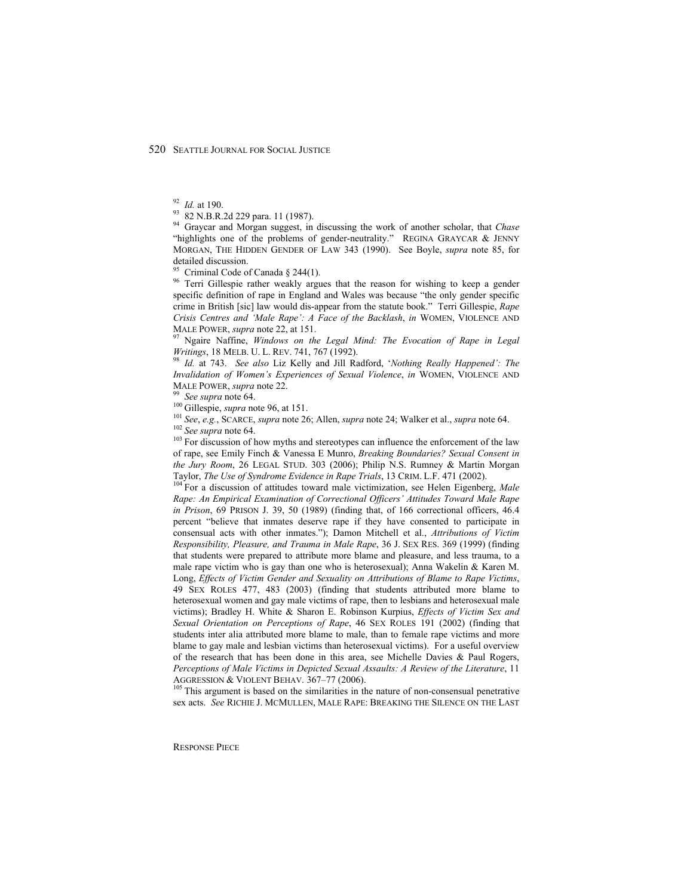<sup>92</sup> *Id.* at 190.<br><sup>93</sup> 82 N.B.R.2d 229 para. 11 (1987).

94 Graycar and Morgan suggest, in discussing the work of another scholar, that *Chase* "highlights one of the problems of gender-neutrality." REGINA GRAYCAR & JENNY MORGAN, THE HIDDEN GENDER OF LAW 343 (1990). See Boyle, *supra* note 85, for detailed discussion.

<sup>95</sup> Criminal Code of Canada § 244(1).

<sup>96</sup> Terri Gillespie rather weakly argues that the reason for wishing to keep a gender specific definition of rape in England and Wales was because "the only gender specific crime in British [sic] law would dis-appear from the statute book." Terri Gillespie, *Rape Crisis Centres and 'Male Rape': A Face of the Backlash*, *in* WOMEN, VIOLENCE AND MALE POWER, *supra* note 22, at 151.<br><sup>97</sup> Ngaire Naffine, *Windows on the Legal Mind: The Evocation of Rape in Legal* 

*Writings*, 18 MELB. U. L. REV. 741, 767 (1992). <sup>98</sup> *Id.* at 743. *See also* Liz Kelly and Jill Radford, *'Nothing Really Happened': The* 

*Invalidation of Women's Experiences of Sexual Violence*, *in* WOMEN, VIOLENCE AND MALE POWER, *supra* note 22.<br><sup>99</sup> *See supra* note 64.<br><sup>100</sup> Gillespie, *supra* note 96, at 151.<br><sup>101</sup> *See, e.g.*, SCARCE, *supra* note 26; Allen, *supra* note 24; Walker et al., *supra* note 64.<br><sup>102</sup> *See supra* note 6

of rape, see Emily Finch & Vanessa E Munro, *Breaking Boundaries? Sexual Consent in the Jury Room*, 26 LEGAL STUD. 303 (2006); Philip N.S. Rumney & Martin Morgan Taylor, *The Use of Syndrome Evidence in Rape Trials*, 13 CRIM. L.F. 471 (2002). <sup>104</sup> For a discussion of attitudes toward male victimization, see Helen Eigenberg, *Male* 

*Rape: An Empirical Examination of Correctional Officers' Attitudes Toward Male Rape in Prison*, 69 PRISON J. 39, 50 (1989) (finding that, of 166 correctional officers, 46.4 percent "believe that inmates deserve rape if they have consented to participate in consensual acts with other inmates."); Damon Mitchell et al., *Attributions of Victim Responsibility, Pleasure, and Trauma in Male Rape*, 36 J. SEX RES. 369 (1999) (finding that students were prepared to attribute more blame and pleasure, and less trauma, to a male rape victim who is gay than one who is heterosexual); Anna Wakelin & Karen M. Long, *Effects of Victim Gender and Sexuality on Attributions of Blame to Rape Victims*, 49 SEX ROLES 477, 483 (2003) (finding that students attributed more blame to heterosexual women and gay male victims of rape, then to lesbians and heterosexual male victims); Bradley H. White & Sharon E. Robinson Kurpius, *Effects of Victim Sex and Sexual Orientation on Perceptions of Rape*, 46 SEX ROLES 191 (2002) (finding that students inter alia attributed more blame to male, than to female rape victims and more blame to gay male and lesbian victims than heterosexual victims). For a useful overview of the research that has been done in this area, see Michelle Davies  $\&$  Paul Rogers, *Perceptions of Male Victims in Depicted Sexual Assaults: A Review of the Literature*, 11 AGGRESSION & VIOLENT BEHAV. 367–77 (2006).<br><sup>105</sup> This argument is based on the similarities in the nature of non-consensual penetrative

sex acts. *See* RICHIE J. MCMULLEN, MALE RAPE: BREAKING THE SILENCE ON THE LAST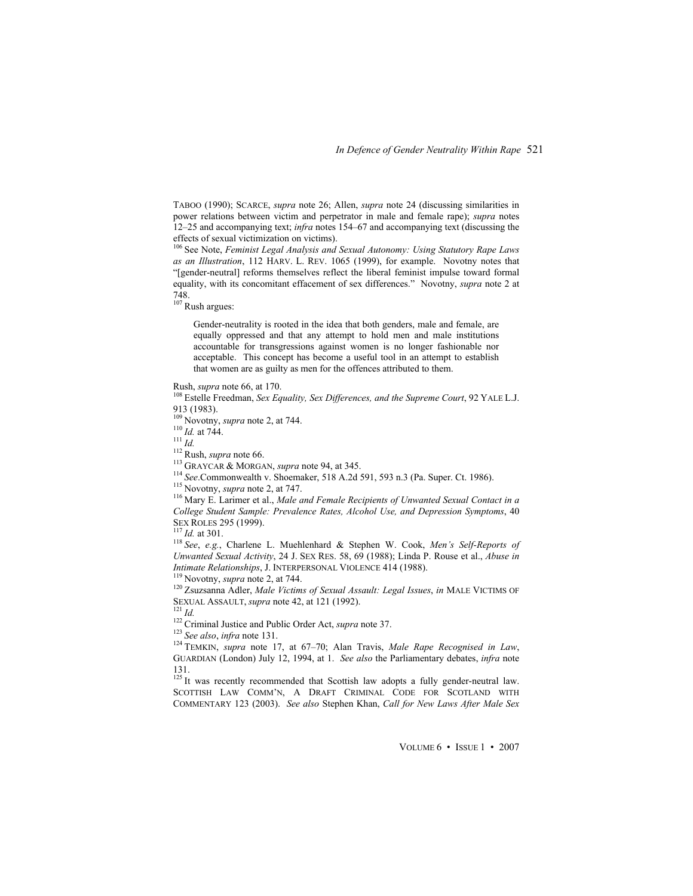TABOO (1990); SCARCE, *supra* note 26; Allen, *supra* note 24 (discussing similarities in power relations between victim and perpetrator in male and female rape); *supra* notes 12–25 and accompanying text; *infra* notes 154–67 and accompanying text (discussing the effects of sexual victimization on victims).

106 See Note, *Feminist Legal Analysis and Sexual Autonomy: Using Statutory Rape Laws as an Illustration*, 112 HARV. L. REV. 1065 (1999), for example. Novotny notes that "[gender-neutral] reforms themselves reflect the liberal feminist impulse toward formal equality, with its concomitant effacement of sex differences." Novotny, *supra* note 2 at 748.

107 Rush argues:

Gender-neutrality is rooted in the idea that both genders, male and female, are equally oppressed and that any attempt to hold men and male institutions accountable for transgressions against women is no longer fashionable nor acceptable. This concept has become a useful tool in an attempt to establish that women are as guilty as men for the offences attributed to them.

Rush, *supra* note 66, at 170.<br><sup>108</sup> Estelle Freedman, *Sex Equality, Sex Differences, and the Supreme Court*, 92 YALE L.J. 913 (1983).<br><sup>109</sup> Novotny, *supra* note 2, at 744.

<sup>110</sup> *Id.* at 744.<br>
<sup>111</sup> *Id.*<br>
<sup>112</sup> Rush, *supra* note 66.<br>
<sup>113</sup> GRAYCAR & MORGAN, *supra* note 94, at 345.<br>
<sup>114</sup> *See*. Commonwealth v. Shoemaker, 518 A.2d 591, 593 n.3 (Pa. Super. Ct. 1986).<br>
<sup>115</sup> Novotny, *supra* 

*College Student Sample: Prevalence Rates, Alcohol Use, and Depression Symptoms*, 40 SEX ROLES 295 (1999).<br><sup>117</sup> *Id.* at 301.<br><sup>118</sup> See, *e.g.*, Charlene L. Muehlenhard & Stephen W. Cook, *Men's Self-Reports of* 

*Unwanted Sexual Activity*, 24 J. SEX RES. 58, 69 (1988); Linda P. Rouse et al., *Abuse in* 

*Intimate Relationships*, J. INTERPERSONAL VIOLENCE 414 (1988).<br><sup>119</sup> Novotny, *supra* note 2, at 744.<br><sup>120</sup> Zsuzsanna Adler, *Male Victims of Sexual Assault: Legal Issues*, *in* MALE VICTIMS OF SEXUAL ASSAULT, *supra* not

<sup>122</sup> Criminal Justice and Public Order Act, *supra* note 37.<br><sup>123</sup> See also, *infra* note 131.<br><sup>124</sup> TEMKIN, *supra* note 17, at 67–70; Alan Travis, *Male Rape Recognised in Law*, GUARDIAN (London) July 12, 1994, at 1. *See also* the Parliamentary debates, *infra* note 131.

<sup>125</sup> It was recently recommended that Scottish law adopts a fully gender-neutral law. SCOTTISH LAW COMM'N, A DRAFT CRIMINAL CODE FOR SCOTLAND WITH COMMENTARY 123 (2003). *See also* Stephen Khan, *Call for New Laws After Male Sex*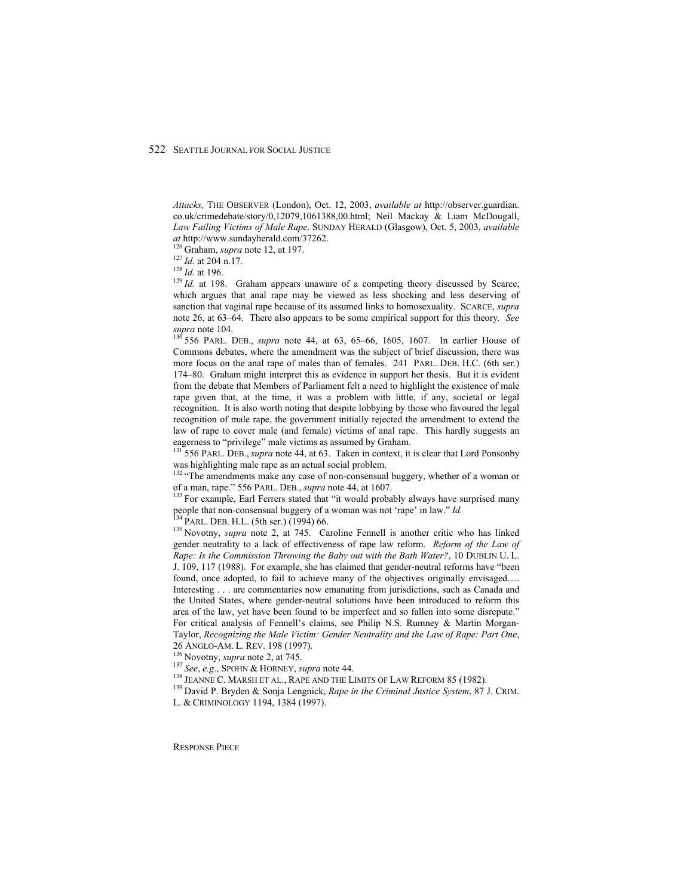*Attacks,* THE OBSERVER (London), Oct. 12, 2003, *available at* http://observer.guardian. co.uk/crimedebate/story/0,12079,1061388,00.html; Neil Mackay & Liam McDougall, *Law Failing Victims of Male Rape,* SUNDAY HERALD (Glasgow), Oct. 5, 2003, *available* 

*at* http://www.sundayherald.com/37262.<br><sup>126</sup> Graham, *supra* note 12, at 197.<br><sup>127</sup> *Id.* at 204 n.17.<br><sup>128</sup> *Id.* at 196. Graham appears unaware of a competing theory discussed by Scarce,<br><sup>129</sup> *Id.* at 198. Graham appe which argues that anal rape may be viewed as less shocking and less deserving of sanction that vaginal rape because of its assumed links to homosexuality. SCARCE, *supra* note 26, at 63–64. There also appears to be some empirical support for this theory*. See supra* note 104.<br><sup>130</sup> 556 PARL. DEB., *supra* note 44, at 63, 65–66, 1605, 1607. In earlier House of

Commons debates, where the amendment was the subject of brief discussion, there was more focus on the anal rape of males than of females. 241 PARL. DEB. H.C. (6th ser.) 174–80. Graham might interpret this as evidence in support her thesis. But it is evident from the debate that Members of Parliament felt a need to highlight the existence of male rape given that, at the time, it was a problem with little, if any, societal or legal recognition. It is also worth noting that despite lobbying by those who favoured the legal recognition of male rape, the government initially rejected the amendment to extend the law of rape to cover male (and female) victims of anal rape. This hardly suggests an

eagerness to "privilege" male victims as assumed by Graham.<br><sup>131</sup> 556 PARL. DEB., *supra* note 44, at 63. Taken in context, it is clear that Lord Ponsonby

was highlighting male rape as an actual social problem.<br><sup>132</sup> "The amendments make any case of non-consensual buggery, whether of a woman or<br>of a man, rape." 556 PARL. DEB., *supra* note 44, at 1607.

<sup>133</sup> For example, Earl Ferrers stated that "it would probably always have surprised many people that non-consensual buggery of a woman was not 'rape' in law." *Id.* <sup>134</sup> PARL. DEB. H.L. (5th ser.) (1994) 66. <sup>135</sup> Novotny, *supra* note 2, at 745. Caroline Fennell is another critic who has linked

gender neutrality to a lack of effectiveness of rape law reform. *Reform of the Law of Rape: Is the Commission Throwing the Baby out with the Bath Water?*, 10 DUBLIN U. L. J. 109, 117 (1988). For example, she has claimed that gender-neutral reforms have "been found, once adopted, to fail to achieve many of the objectives originally envisaged…. Interesting . . . are commentaries now emanating from jurisdictions, such as Canada and the United States, where gender-neutral solutions have been introduced to reform this area of the law, yet have been found to be imperfect and so fallen into some disrepute." For critical analysis of Fennell's claims, see Philip N.S. Rumney & Martin Morgan-Taylor, *Recognizing the Male Victim: Gender Neutrality and the Law of Rape: Part One*, 26 ANGLO-AM. L. REV. 198 (1997).<br><sup>136</sup> Novotny, *supra* note 2, at 745.<br><sup>137</sup> *See, e.g.*, SPOHN & HORNEY, *supra* note 44.<br><sup>138</sup> JEANNE C. MARSH ET AL., RAPE AND THE LIMITS OF LAW REFORM 85 (1982).<br><sup>139</sup> David P. Bryden &

L. & CRIMINOLOGY 1194, 1384 (1997).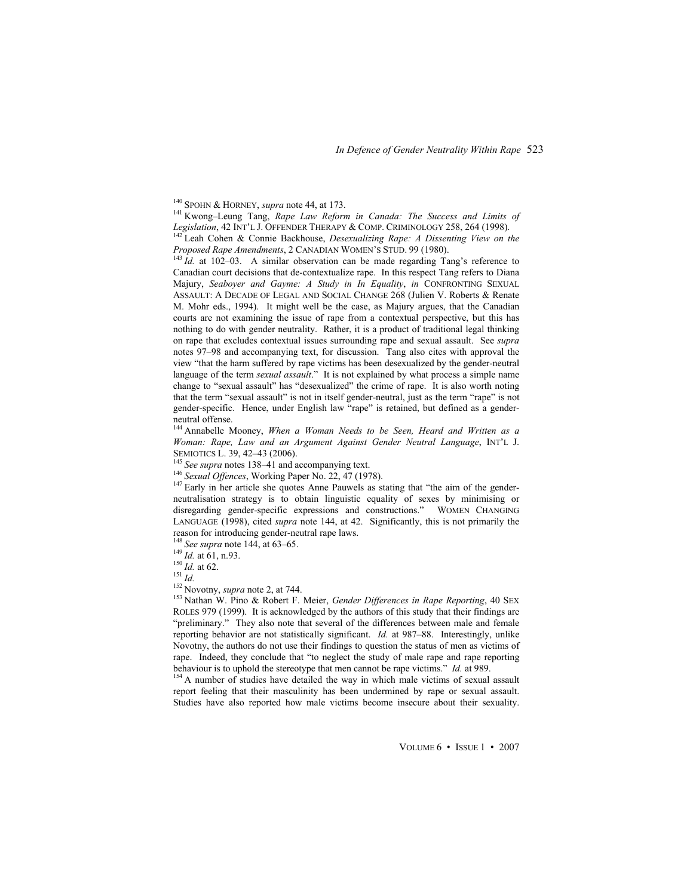*In Defence of Gender Neutrality Within Rape* 523

<sup>140</sup> SPOHN & HORNEY, *supra* note 44, at 173.<br><sup>141</sup> Kwong–Leung Tang, *Rape Law Reform in Canada: The Success and Limits of <i>Legislation*, 42 INT'L J. OFFENDER THERAPY & COMP. CRIMINOLOGY 258, 264 (1998).

*Legislation*, 42 Leah Cohen & Connie Backhouse, *Desexualizing Rape: A Dissenting View on the Proposed Rape Amendments*, 2 CANADIAN WOMEN'S STUD. 99 (1980).<br><sup>143</sup> Id. at 102–03. A similar observation can be made regarding Tang's reference to

Canadian court decisions that de-contextualize rape. In this respect Tang refers to Diana Majury, *Seaboyer and Gayme: A Study in In Equality*, *in* CONFRONTING SEXUAL ASSAULT: A DECADE OF LEGAL AND SOCIAL CHANGE 268 (Julien V. Roberts & Renate M. Mohr eds., 1994). It might well be the case, as Majury argues, that the Canadian courts are not examining the issue of rape from a contextual perspective, but this has nothing to do with gender neutrality. Rather, it is a product of traditional legal thinking on rape that excludes contextual issues surrounding rape and sexual assault. See *supra* notes 97–98 and accompanying text, for discussion. Tang also cites with approval the view "that the harm suffered by rape victims has been desexualized by the gender-neutral language of the term *sexual assault*." It is not explained by what process a simple name change to "sexual assault" has "desexualized" the crime of rape. It is also worth noting that the term "sexual assault" is not in itself gender-neutral, just as the term "rape" is not gender-specific. Hence, under English law "rape" is retained, but defined as a genderneutral offense.

144 Annabelle Mooney, *When a Woman Needs to be Seen, Heard and Written as a Woman: Rape, Law and an Argument Against Gender Neutral Language*, INT'L J.

<sup>145</sup> See supra notes 138–41 and accompanying text.<br><sup>146</sup> Sexual Offences, Working Paper No. 22, 47 (1978).<br><sup>147</sup> Early in her article she quotes Anne Pauwels as stating that "the aim of the genderneutralisation strategy is to obtain linguistic equality of sexes by minimising or disregarding gender-specific expressions and constructions." WOMEN CHANGING LANGUAGE (1998), cited *supra* note 144, at 42. Significantly, this is not primarily the reason for introducing gender-neutral rape laws.<br><sup>148</sup> See supra note 144, at 63–65.

<sup>149</sup> *Id.* at 61, n.93.<br><sup>150</sup> *Id.* at 62.<br><sup>151</sup> *Id.*<br><sup>152</sup> Novotny, *supra* note 2, at 744.<br><sup>152</sup> Novotny, *supra* note 2, at 744.<br><sup>153</sup> Nathan W. Pino & Robert F. Meier, *Gender Differences in Rape Reporting*, 40 SEX ROLES 979 (1999). It is acknowledged by the authors of this study that their findings are "preliminary." They also note that several of the differences between male and female reporting behavior are not statistically significant. *Id.* at 987–88. Interestingly, unlike Novotny, the authors do not use their findings to question the status of men as victims of rape. Indeed, they conclude that "to neglect the study of male rape and rape reporting behaviour is to uphold the stereotype that men cannot be rape victims." *Id.* at 989.<br><sup>154</sup> A number of studies have detailed the way in which male victims of sexual assault

report feeling that their masculinity has been undermined by rape or sexual assault. Studies have also reported how male victims become insecure about their sexuality.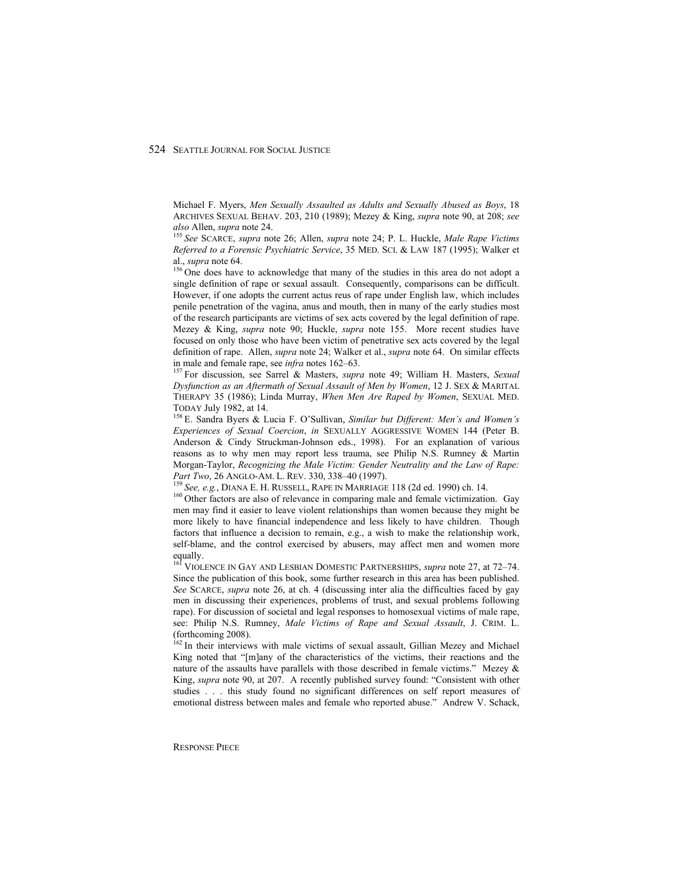Michael F. Myers, *Men Sexually Assaulted as Adults and Sexually Abused as Boys*, 18 ARCHIVES SEXUAL BEHAV. 203, 210 (1989); Mezey & King, *supra* note 90, at 208; *see also* Allen, *supra* note 24. 155 *See* SCARCE, *supra* note 26; Allen, *supra* note 24; P. L. Huckle, *Male Rape Victims* 

*Referred to a Forensic Psychiatric Service*, 35 MED. SCI. & LAW 187 (1995); Walker et al., *supra* note 64.<br><sup>156</sup> One does have to acknowledge that many of the studies in this area do not adopt a

single definition of rape or sexual assault. Consequently, comparisons can be difficult. However, if one adopts the current actus reus of rape under English law, which includes penile penetration of the vagina, anus and mouth, then in many of the early studies most of the research participants are victims of sex acts covered by the legal definition of rape. Mezey & King, *supra* note 90; Huckle, *supra* note 155. More recent studies have focused on only those who have been victim of penetrative sex acts covered by the legal definition of rape. Allen, *supra* note 24; Walker et al., *supra* note 64. On similar effects in male and female rape, see *infra* notes 162–63. 157 For discussion, see Sarrel & Masters, *supra* note 49; William H. Masters, *Sexual* 

*Dysfunction as an Aftermath of Sexual Assault of Men by Women*, 12 J. SEX & MARITAL THERAPY 35 (1986); Linda Murray, *When Men Are Raped by Women*, SEXUAL MED. TODAY July 1982, at 14.<br><sup>158</sup> E. Sandra Byers & Lucia F. O'Sullivan, *Similar but Different: Men's and Women's* 

*Experiences of Sexual Coercion*, *in* SEXUALLY AGGRESSIVE WOMEN 144 (Peter B. Anderson & Cindy Struckman-Johnson eds., 1998). For an explanation of various reasons as to why men may report less trauma, see Philip N.S. Rumney & Martin Morgan-Taylor, *Recognizing the Male Victim: Gender Neutrality and the Law of Rape:*  Part Two, 26 ANGLO-AM. L. REV. 330, 338–40 (1997).<br><sup>159</sup> See, e.g., DIANA E. H. RUSSELL, RAPE IN MARRIAGE 118 (2d ed. 1990) ch. 14.<br><sup>160</sup> Other factors are also of relevance in comparing male and female victimization. Gay

men may find it easier to leave violent relationships than women because they might be more likely to have financial independence and less likely to have children. Though factors that influence a decision to remain, e.g., a wish to make the relationship work, self-blame, and the control exercised by abusers, may affect men and women more equally.

161 VIOLENCE IN GAY AND LESBIAN DOMESTIC PARTNERSHIPS, *supra* note 27, at 72–74. Since the publication of this book, some further research in this area has been published. *See* SCARCE, *supra* note 26, at ch. 4 (discussing inter alia the difficulties faced by gay men in discussing their experiences, problems of trust, and sexual problems following rape). For discussion of societal and legal responses to homosexual victims of male rape, see: Philip N.S. Rumney, *Male Victims of Rape and Sexual Assault*, J. CRIM. L. (forthcoming 2008).

<sup>162</sup> In their interviews with male victims of sexual assault, Gillian Mezey and Michael King noted that "[m]any of the characteristics of the victims, their reactions and the nature of the assaults have parallels with those described in female victims." Mezey  $\&$ King, *supra* note 90, at 207. A recently published survey found: "Consistent with other studies . . . this study found no significant differences on self report measures of emotional distress between males and female who reported abuse." Andrew V. Schack,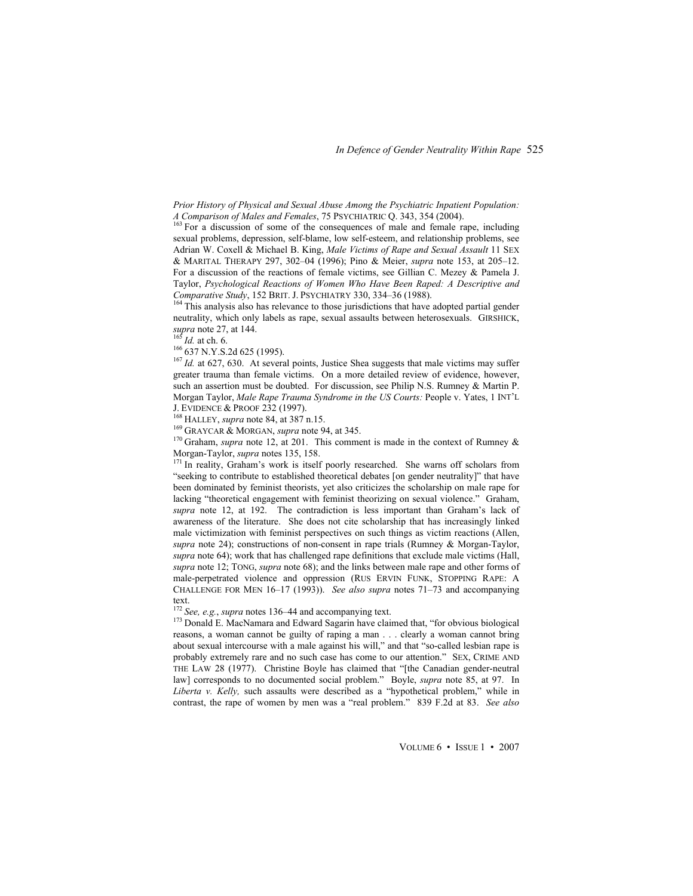*Prior History of Physical and Sexual Abuse Among the Psychiatric Inpatient Population:* 

*A Comparison of Some of the consequences of male and female rape, including* sexual problems, depression, self-blame, low self-esteem, and relationship problems, see Adrian W. Coxell & Michael B. King, *Male Victims of Rape and Sexual Assault* 11 SEX & MARITAL THERAPY 297, 302–04 (1996); Pino & Meier, *supra* note 153, at 205–12. For a discussion of the reactions of female victims, see Gillian C. Mezey & Pamela J. Taylor, *Psychological Reactions of Women Who Have Been Raped: A Descriptive and Comparative Study*, 152 BRIT. J. PSYCHIATRY 330, 334–36 (1988). <sup>164</sup> This analysis also has relevance to those jurisdictions that have adopted partial gender

neutrality, which only labels as rape, sexual assaults between heterosexuals. GIRSHICK, supra note 27, at 144.<br> $^{165}$  Id. at ch. 6.

<sup>166</sup> 637 N.Y.S.2d 625 (1995).<br><sup>167</sup> *Id.* at 627, 630. At several points, Justice Shea suggests that male victims may suffer greater trauma than female victims. On a more detailed review of evidence, however, such an assertion must be doubted. For discussion, see Philip N.S. Rumney & Martin P. Morgan Taylor, *Male Rape Trauma Syndrome in the US Courts:* People v. Yates, 1 INT'L

J. EVIDENCE & PROOF 232 (1997).<br><sup>168</sup> HALLEY, *supra* note 84, at 387 n.15.<br><sup>169</sup> GRAYCAR & MORGAN, *supra* note 94, at 345.<br><sup>170</sup> Graham, *supra* note 12, at 201. This comment is made in the context of Rumney &

Morgan-Taylor, *supra* notes 135, 158.<br><sup>171</sup> In reality, Graham's work is itself poorly researched. She warns off scholars from "seeking to contribute to established theoretical debates [on gender neutrality]" that have been dominated by feminist theorists, yet also criticizes the scholarship on male rape for lacking "theoretical engagement with feminist theorizing on sexual violence." Graham, *supra* note 12, at 192. The contradiction is less important than Graham's lack of awareness of the literature. She does not cite scholarship that has increasingly linked male victimization with feminist perspectives on such things as victim reactions (Allen, *supra* note 24); constructions of non-consent in rape trials (Rumney & Morgan-Taylor, *supra* note 64); work that has challenged rape definitions that exclude male victims (Hall, *supra* note 12; TONG, *supra* note 68); and the links between male rape and other forms of male-perpetrated violence and oppression (RUS ERVIN FUNK, STOPPING RAPE: A CHALLENGE FOR MEN 16–17 (1993)). *See also supra* notes 71–73 and accompanying

text.<br><sup>172</sup> See, e.g., *supra* notes 136–44 and accompanying text.

<sup>173</sup> Donald E. MacNamara and Edward Sagarin have claimed that, "for obvious biological reasons, a woman cannot be guilty of raping a man . . . clearly a woman cannot bring about sexual intercourse with a male against his will," and that "so-called lesbian rape is probably extremely rare and no such case has come to our attention." SEX, CRIME AND THE LAW 28 (1977). Christine Boyle has claimed that "[the Canadian gender-neutral law] corresponds to no documented social problem." Boyle, *supra* note 85, at 97. In *Liberta v. Kelly,* such assaults were described as a "hypothetical problem," while in contrast, the rape of women by men was a "real problem." 839 F.2d at 83. *See also*